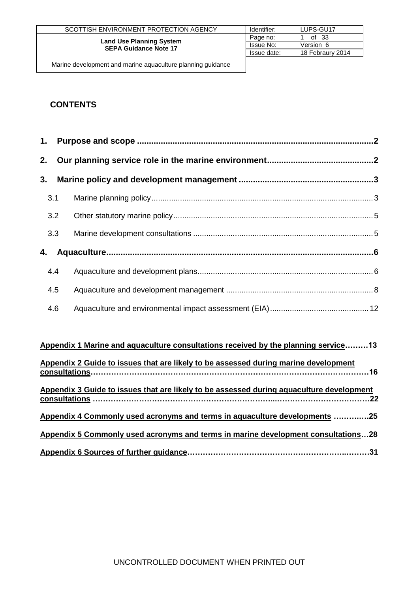|                                                                 | SCOTTISH ENVIRONMENT PROTECTION AGENCY | Identifier: | LUPS-GU17        |
|-----------------------------------------------------------------|----------------------------------------|-------------|------------------|
|                                                                 | Page no:                               | of $33$     |                  |
| <b>Land Use Planning System</b><br><b>SEPA Guidance Note 17</b> | Issue No:                              | Version 6   |                  |
|                                                                 |                                        | Issue date: | 18 Febraury 2014 |
|                                                                 |                                        |             |                  |

## **CONTENTS**

| 3. |     |  |
|----|-----|--|
|    | 3.1 |  |
|    | 3.2 |  |
|    | 3.3 |  |
| 4. |     |  |
|    | 4.4 |  |
|    | 4.5 |  |
|    | 4.6 |  |

| Appendix 1 Marine and aquaculture consultations received by the planning service13       |
|------------------------------------------------------------------------------------------|
| Appendix 2 Guide to issues that are likely to be assessed during marine development      |
| Appendix 3 Guide to issues that are likely to be assessed during aquaculture development |
| Appendix 4 Commonly used acronyms and terms in aquaculture developments 25               |
| Appendix 5 Commonly used acronyms and terms in marine development consultations28        |
|                                                                                          |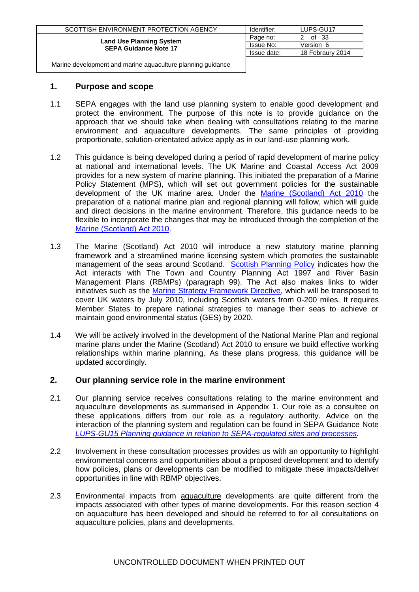| SCOTTISH ENVIRONMENT PROTECTION AGENCY                          | Identifier: | LUPS-GU17        |
|-----------------------------------------------------------------|-------------|------------------|
|                                                                 | Page no:    | of 33            |
| <b>Land Use Planning System</b><br><b>SEPA Guidance Note 17</b> | Issue No:   | Version 6        |
|                                                                 | Issue date: | 18 Febraury 2014 |
|                                                                 |             |                  |

#### <span id="page-1-0"></span>**1. Purpose and scope**

- 1.1 SEPA engages with the land use planning system to enable good development and protect the environment. The purpose of this note is to provide guidance on the approach that we should take when dealing with consultations relating to the marine environment and aquaculture developments. The same principles of providing proportionate, solution-orientated advice apply as in our land-use planning work.
- 1.2 This guidance is being developed during a period of rapid development of marine policy at national and international levels. The UK Marine and Coastal Access Act 2009 provides for a new system of marine planning. This initiated the preparation of a Marine Policy Statement (MPS), which will set out government policies for the sustainable development of the UK marine area. Under the [Marine \(Scotland\) Act 2010](http://www.oqps.gov.uk/legislation/acts/acts2010/pdf/asp_20100005_en.pdf) the preparation of a national marine plan and regional planning will follow, which will guide and direct decisions in the marine environment. Therefore, this guidance needs to be flexible to incorporate the changes that may be introduced through the completion of the [Marine \(Scotland\) Act 2010.](http://www.oqps.gov.uk/legislation/acts/acts2010/pdf/asp_20100005_en.pdf)
- 1.3 The Marine (Scotland) Act 2010 will introduce a new statutory marine planning framework and a streamlined marine licensing system which promotes the sustainable management of the seas around Scotland. [Scottish Planning Policy](http://www.scotland.gov.uk/Resource/Doc/300760/0093908.pdf) indicates how the Act interacts with The Town and Country Planning Act 1997 and River Basin Management Plans (RBMPs) (paragraph 99). The Act also makes links to wider initiatives such as the [Marine Strategy Framework Directive,](http://www.scotland.gov.uk/Topics/marine/seamanagement/international/msfd) which will be transposed to cover UK waters by July 2010, including Scottish waters from 0-200 miles. It requires Member States to prepare national strategies to manage their seas to achieve or maintain good environmental status (GES) by 2020.
- 1.4 We will be actively involved in the development of the National Marine Plan and regional marine plans under the Marine (Scotland) Act 2010 to ensure we build effective working relationships within marine planning. As these plans progress, this guidance will be updated accordingly.

## <span id="page-1-1"></span>**2. Our planning service role in the marine environment**

- 2.1 Our planning service receives consultations relating to the marine environment and aquaculture developments as summarised in Appendix 1. Our role as a consultee on these applications differs from our role as a regulatory authority. Advice on the interaction of the planning system and regulation can be found in SEPA Guidance Note *[LUPS-GU15 Planning guidance in relation to SEPA-regulated sites and processes.](http://www.sepa.org.uk/customer_information/idoc.ashx?docid=246cf3f6-4bc0-4de2-bd36-8f3b83b05160&version=-1)*
- 2.2 Involvement in these consultation processes provides us with an opportunity to highlight environmental concerns and opportunities about a proposed development and to identify how policies, plans or developments can be modified to mitigate these impacts/deliver opportunities in line with RBMP objectives.
- 2.3 Environmental impacts from aquaculture developments are quite different from the impacts associated with other types of marine developments. For this reason section 4 on aquaculture has been developed and should be referred to for all consultations on aquaculture policies, plans and developments.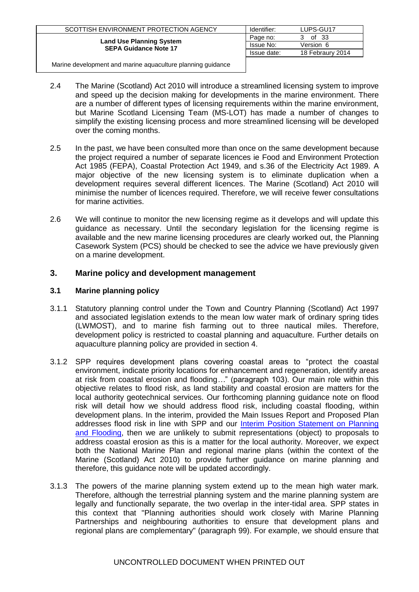| SCOTTISH ENVIRONMENT PROTECTION AGENCY                          | Identifier: | LUPS-GU17        |
|-----------------------------------------------------------------|-------------|------------------|
|                                                                 | Page no:    | of 33<br>З.      |
| <b>Land Use Planning System</b><br><b>SEPA Guidance Note 17</b> | Issue No:   | Version 6        |
|                                                                 | Issue date: | 18 Febraury 2014 |
|                                                                 |             |                  |

- 2.4 The Marine (Scotland) Act 2010 will introduce a streamlined licensing system to improve and speed up the decision making for developments in the marine environment. There are a number of different types of licensing requirements within the marine environment, but Marine Scotland Licensing Team (MS-LOT) has made a number of changes to simplify the existing licensing process and more streamlined licensing will be developed over the coming months.
- 2.5 In the past, we have been consulted more than once on the same development because the project required a number of separate licences ie Food and Environment Protection Act 1985 (FEPA), Coastal Protection Act 1949, and s.36 of the Electricity Act 1989. A major objective of the new licensing system is to eliminate duplication when a development requires several different licences. The Marine (Scotland) Act 2010 will minimise the number of licences required. Therefore, we will receive fewer consultations for marine activities.
- 2.6 We will continue to monitor the new licensing regime as it develops and will update this guidance as necessary. Until the secondary legislation for the licensing regime is available and the new marine licensing procedures are clearly worked out, the Planning Casework System (PCS) should be checked to see the advice we have previously given on a marine development.

## <span id="page-2-0"></span>**3. Marine policy and development management**

#### <span id="page-2-1"></span>**3.1 Marine planning policy**

- 3.1.1 Statutory planning control under the Town and Country Planning (Scotland) Act 1997 and associated legislation extends to the mean low water mark of ordinary spring tides (LWMOST), and to marine fish farming out to three nautical miles. Therefore, development policy is restricted to coastal planning and aquaculture. Further details on aquaculture planning policy are provided in section 4.
- 3.1.2 SPP requires development plans covering coastal areas to "protect the coastal environment, indicate priority locations for enhancement and regeneration, identify areas at risk from coastal erosion and flooding*…*" (paragraph 103). Our main role within this objective relates to flood risk, as land stability and coastal erosion are matters for the local authority geotechnical services. Our forthcoming planning guidance note on flood risk will detail how we should address flood risk, including coastal flooding, within development plans. In the interim, provided the Main Issues Report and Proposed Plan addresses flood risk in line with SPP and our [Interim Position Statement on Planning](http://www.sepa.org.uk/idoc.ashx?docid=a269d23e-deab-4174-96e4-b9820b7822b3&version=-1)  [and Flooding,](http://www.sepa.org.uk/idoc.ashx?docid=a269d23e-deab-4174-96e4-b9820b7822b3&version=-1) then we are unlikely to submit representations (object) to proposals to address coastal erosion as this is a matter for the local authority. Moreover, we expect both the National Marine Plan and regional marine plans (within the context of the Marine (Scotland) Act 2010) to provide further guidance on marine planning and therefore, this guidance note will be updated accordingly.
- 3.1.3 The powers of the marine planning system extend up to the mean high water mark. Therefore, although the terrestrial planning system and the marine planning system are legally and functionally separate, the two overlap in the inter-tidal area. SPP states in this context that "Planning authorities should work closely with Marine Planning Partnerships and neighbouring authorities to ensure that development plans and regional plans are complementary" (paragraph 99). For example, we should ensure that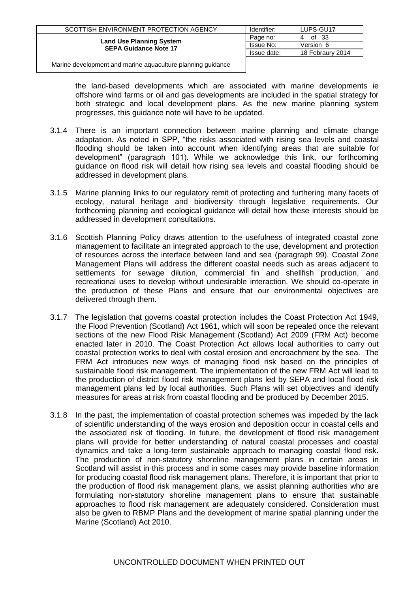| SCOTTISH ENVIRONMENT PROTECTION AGENCY                          | Identifier: | LUPS-GU17        |
|-----------------------------------------------------------------|-------------|------------------|
|                                                                 | Page no:    | of 33            |
| <b>Land Use Planning System</b><br><b>SEPA Guidance Note 17</b> | Issue No:   | Version 6        |
|                                                                 | Issue date: | 18 Febraury 2014 |
|                                                                 |             |                  |

the land-based developments which are associated with marine developments ie offshore wind farms or oil and gas developments are included in the spatial strategy for both strategic and local development plans. As the new marine planning system progresses, this guidance note will have to be updated.

- 3.1.4 There is an important connection between marine planning and climate change adaptation. As noted in SPP, "the risks associated with rising sea levels and coastal flooding should be taken into account when identifying areas that are suitable for development" (paragraph 101). While we acknowledge this link, our forthcoming guidance on flood risk will detail how rising sea levels and coastal flooding should be addressed in development plans.
- 3.1.5 Marine planning links to our regulatory remit of protecting and furthering many facets of ecology, natural heritage and biodiversity through legislative requirements. Our forthcoming planning and ecological guidance will detail how these interests should be addressed in development consultations.
- 3.1.6 Scottish Planning Policy draws attention to the usefulness of integrated coastal zone management to facilitate an integrated approach to the use, development and protection of resources across the interface between land and sea (paragraph 99). Coastal Zone Management Plans will address the different coastal needs such as areas adjacent to settlements for sewage dilution, commercial fin and shellfish production, and recreational uses to develop without undesirable interaction. We should co-operate in the production of these Plans and ensure that our environmental objectives are delivered through them.
- 3.1.7 The legislation that governs coastal protection includes the Coast Protection Act 1949, the Flood Prevention (Scotland) Act 1961, which will soon be repealed once the relevant sections of the new Flood Risk Management (Scotland) Act 2009 (FRM Act) become enacted later in 2010. The Coast Protection Act allows local authorities to carry out coastal protection works to deal with costal erosion and encroachment by the sea. The FRM Act introduces new ways of managing flood risk based on the principles of sustainable flood risk management. The implementation of the new FRM Act will lead to the production of district flood risk management plans led by SEPA and local flood risk management plans led by local authorities. Such Plans will set objectives and identify measures for areas at risk from coastal flooding and be produced by December 2015.
- 3.1.8 In the past, the implementation of coastal protection schemes was impeded by the lack of scientific understanding of the ways erosion and deposition occur in coastal cells and the associated risk of flooding. In future, the development of flood risk management plans will provide for better understanding of natural coastal processes and coastal dynamics and take a long-term sustainable approach to managing coastal flood risk. The production of non-statutory shoreline management plans in certain areas in Scotland will assist in this process and in some cases may provide baseline information for producing coastal flood risk management plans. Therefore, it is important that prior to the production of flood risk management plans, we assist planning authorities who are formulating non-statutory shoreline management plans to ensure that sustainable approaches to flood risk management are adequately considered. Consideration must also be given to RBMP Plans and the development of marine spatial planning under the Marine (Scotland) Act 2010.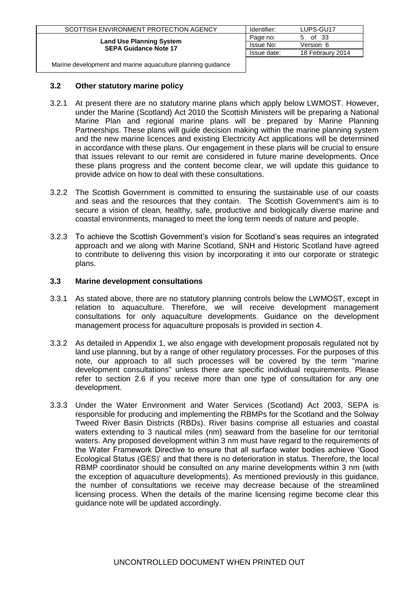| SCOTTISH ENVIRONMENT PROTECTION AGENCY                          | Identifier: | LUPS-GU17        |
|-----------------------------------------------------------------|-------------|------------------|
|                                                                 | Page no:    | of 33<br>h       |
| <b>Land Use Planning System</b><br><b>SEPA Guidance Note 17</b> | Issue No:   | Version 6        |
|                                                                 | Issue date: | 18 Febraury 2014 |
|                                                                 |             |                  |

#### <span id="page-4-0"></span>**3.2 Other statutory marine policy**

- 3.2.1 At present there are no statutory marine plans which apply below LWMOST. However, under the Marine (Scotland) Act 2010 the Scottish Ministers will be preparing a National Marine Plan and regional marine plans will be prepared by Marine Planning Partnerships. These plans will guide decision making within the marine planning system and the new marine licences and existing Electricity Act applications will be determined in accordance with these plans. Our engagement in these plans will be crucial to ensure that issues relevant to our remit are considered in future marine developments. Once these plans progress and the content become clear, we will update this guidance to provide advice on how to deal with these consultations.
- 3.2.2 The Scottish Government is committed to ensuring the sustainable use of our coasts and seas and the resources that they contain. The Scottish Government's aim is to secure a vision of clean, healthy, safe, productive and biologically diverse marine and coastal environments, managed to meet the long term needs of nature and people.
- 3.2.3 To achieve the Scottish Government's vision for Scotland's seas requires an integrated approach and we along with Marine Scotland, SNH and Historic Scotland have agreed to contribute to delivering this vision by incorporating it into our corporate or strategic plans.

#### <span id="page-4-1"></span>**3.3 Marine development consultations**

- 3.3.1 As stated above, there are no statutory planning controls below the LWMOST, except in relation to aquaculture. Therefore, we will receive development management consultations for only aquaculture developments. Guidance on the development management process for aquaculture proposals is provided in section 4.
- 3.3.2 As detailed in Appendix 1, we also engage with development proposals regulated not by land use planning, but by a range of other regulatory processes. For the purposes of this note, our approach to all such processes will be covered by the term "marine development consultations" unless there are specific individual requirements. Please refer to section 2.6 if you receive more than one type of consultation for any one development.
- 3.3.3 Under the Water Environment and Water Services (Scotland) Act 2003, SEPA is responsible for producing and implementing the RBMPs for the Scotland and the Solway Tweed River Basin Districts (RBDs). River basins comprise all estuaries and coastal waters extending to 3 nautical miles (nm) seaward from the baseline for our territorial waters. Any proposed development within 3 nm must have regard to the requirements of the Water Framework Directive to ensure that all surface water bodies achieve 'Good Ecological Status (GES)' and that there is no deterioration in status. Therefore, the local RBMP coordinator should be consulted on any marine developments within 3 nm (with the exception of aquaculture developments). As mentioned previously in this guidance, the number of consultations we receive may decrease because of the streamlined licensing process. When the details of the marine licensing regime become clear this guidance note will be updated accordingly.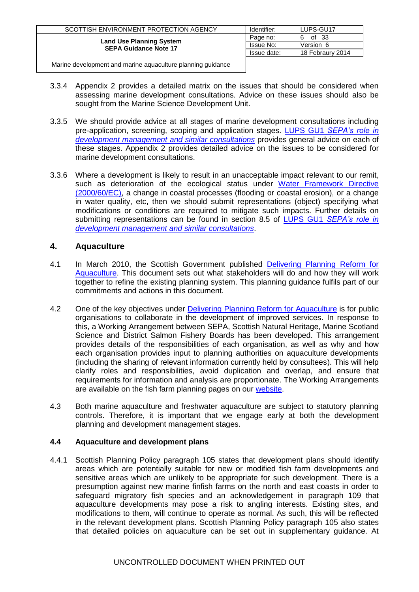| SCOTTISH ENVIRONMENT PROTECTION AGENCY                          | Identifier: | LUPS-GU17        |
|-----------------------------------------------------------------|-------------|------------------|
|                                                                 | Page no:    | of 33<br>6.      |
| <b>Land Use Planning System</b><br><b>SEPA Guidance Note 17</b> | Issue No:   | Version 6        |
|                                                                 | Issue date: | 18 Febraury 2014 |
|                                                                 |             |                  |

- 3.3.4 Appendix 2 provides a detailed matrix on the issues that should be considered when assessing marine development consultations. Advice on these issues should also be sought from the Marine Science Development Unit.
- 3.3.5 We should provide advice at all stages of marine development consultations including pre-application, screening, scoping and application stages. LUPS GU1 *[SEPA's role in](http://www.sepa.org.uk/customer_information/idoc.ashx?docid=08dfead0-1928-40b3-9d93-cf2946ba8ff1&version=-1)  [development management and similar consultations](http://www.sepa.org.uk/customer_information/idoc.ashx?docid=08dfead0-1928-40b3-9d93-cf2946ba8ff1&version=-1)* provides general advice on each of these stages. Appendix 2 provides detailed advice on the issues to be considered for marine development consultations.
- 3.3.6 Where a development is likely to result in an unacceptable impact relevant to our remit, such as deterioration of the ecological status under [Water Framework Directive](http://ec.europa.eu/environment/water/water-framework/index_en.html)  [\(2000/60/EC\),](http://ec.europa.eu/environment/water/water-framework/index_en.html) a change in coastal processes (flooding or coastal erosion), or a change in water quality, etc, then we should submit representations (object) specifying what modifications or conditions are required to mitigate such impacts. Further details on submitting representations can be found in section 8.5 of LUPS GU1 *[SEPA's role in](http://www.sepa.org.uk/customer_information/idoc.ashx?docid=08dfead0-1928-40b3-9d93-cf2946ba8ff1&version=-1)  [development management and similar consultations](http://www.sepa.org.uk/customer_information/idoc.ashx?docid=08dfead0-1928-40b3-9d93-cf2946ba8ff1&version=-1)*.

## <span id="page-5-0"></span>**4. Aquaculture**

- 4.1 In March 2010, the Scottish Government published [Delivering Planning Reform for](http://www.scotland.gov.uk/Resource/Doc/304025/0095384.pdf)  [Aquaculture.](http://www.scotland.gov.uk/Resource/Doc/304025/0095384.pdf) This document sets out what stakeholders will do and how they will work together to refine the existing planning system. This planning guidance fulfils part of our commitments and actions in this document.
- 4.2 One of the key objectives under **[Delivering Planning Reform for Aquaculture](http://www.scotland.gov.uk/Resource/Doc/304025/0095384.pdf)** is for public organisations to collaborate in the development of improved services. In response to this, a Working Arrangement between SEPA, Scottish Natural Heritage, Marine Scotland Science and District Salmon Fishery Boards has been developed. This arrangement provides details of the responsibilities of each organisation, as well as why and how each organisation provides input to planning authorities on aquaculture developments (including the sharing of relevant information currently held by consultees). This will help clarify roles and responsibilities, avoid duplication and overlap, and ensure that requirements for information and analysis are proportionate. The Working Arrangements are available on the fish farm planning pages on our [website.](http://www.sepa.org.uk/planning/fish_farming.aspx)
- 4.3 Both marine aquaculture and freshwater aquaculture are subject to statutory planning controls. Therefore, it is important that we engage early at both the development planning and development management stages.

#### <span id="page-5-1"></span>**4.4 Aquaculture and development plans**

4.4.1 Scottish Planning Policy paragraph 105 states that development plans should identify areas which are potentially suitable for new or modified fish farm developments and sensitive areas which are unlikely to be appropriate for such development. There is a presumption against new marine finfish farms on the north and east coasts in order to safeguard migratory fish species and an acknowledgement in paragraph 109 that aquaculture developments may pose a risk to angling interests. Existing sites, and modifications to them, will continue to operate as normal. As such, this will be reflected in the relevant development plans. Scottish Planning Policy paragraph 105 also states that detailed policies on aquaculture can be set out in supplementary guidance. At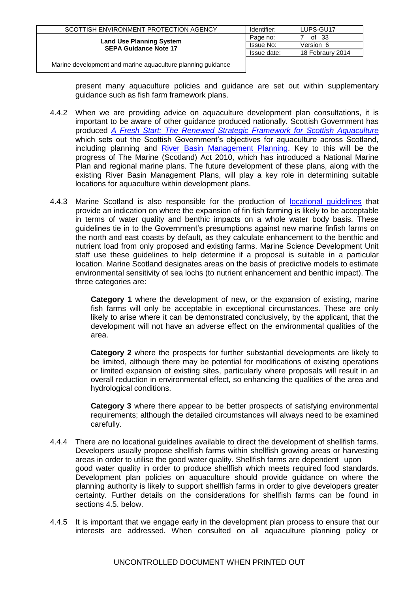| SCOTTISH ENVIRONMENT PROTECTION AGENCY                          | Identifier: | LUPS-GU17        |
|-----------------------------------------------------------------|-------------|------------------|
|                                                                 | Page no:    | of $33$          |
| <b>Land Use Planning System</b><br><b>SEPA Guidance Note 17</b> | Issue No:   | Version 6        |
|                                                                 | Issue date: | 18 Febraury 2014 |
|                                                                 |             |                  |

present many aquaculture policies and guidance are set out within supplementary guidance such as fish farm framework plans.

- 4.4.2 When we are providing advice on aquaculture development plan consultations, it is important to be aware of other guidance produced nationally. Scottish Government has produced *A Fresh Start: The Renewed [Strategic Framework for Scottish Aquaculture](http://www.scotland.gov.uk/Publications/2009/05/14160104/7)* which sets out the Scottish Government's objectives for aquaculture across Scotland, including planning and [River Basin Management Planning.](http://www.sepa.org.uk/water/river_basin_planning.aspx) Key to this will be the progress of The Marine (Scotland) Act 2010, which has introduced a National Marine Plan and regional marine plans. The future development of these plans, along with the existing River Basin Management Plans, will play a key role in determining suitable locations for aquaculture within development plans.
- 4.4.3 Marine Scotland is also responsible for the production of **[locational guidelines](http://www.frs-scotland.gov.uk/Delivery/standalone.aspx?contentid=778)** that provide an indication on where the expansion of fin fish farming is likely to be acceptable in terms of water quality and benthic impacts on a whole water body basis. These guidelines tie in to the Government's presumptions against new marine finfish farms on the north and east coasts by default, as they calculate enhancement to the benthic and nutrient load from only proposed and existing farms. Marine Science Development Unit staff use these guidelines to help determine if a proposal is suitable in a particular location. Marine Scotland designates areas on the basis of predictive models to estimate environmental sensitivity of sea lochs (to nutrient enhancement and benthic impact). The three categories are:

**Category 1** where the development of new, or the expansion of existing, marine fish farms will only be acceptable in exceptional circumstances. These are only likely to arise where it can be demonstrated conclusively, by the applicant, that the development will not have an adverse effect on the environmental qualities of the area.

**Category 2** where the prospects for further substantial developments are likely to be limited, although there may be potential for modifications of existing operations or limited expansion of existing sites, particularly where proposals will result in an overall reduction in environmental effect, so enhancing the qualities of the area and hydrological conditions.

**Category 3** where there appear to be better prospects of satisfying environmental requirements; although the detailed circumstances will always need to be examined carefully.

- 4.4.4 There are no locational guidelines available to direct the development of shellfish farms. Developers usually propose shellfish farms within shellfish growing areas or harvesting areas in order to utilise the good water quality. Shellfish farms are dependent upon good water quality in order to produce shellfish which meets required food standards. Development plan policies on aquaculture should provide guidance on where the planning authority is likely to support shellfish farms in order to give developers greater certainty. Further details on the considerations for shellfish farms can be found in sections 4.5. below.
- 4.4.5 It is important that we engage early in the development plan process to ensure that our interests are addressed. When consulted on all aquaculture planning policy or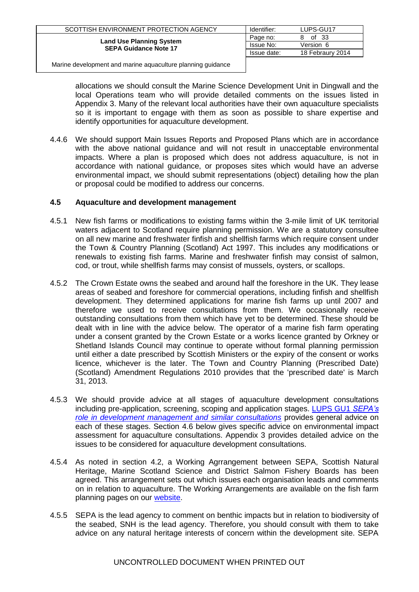| SCOTTISH ENVIRONMENT PROTECTION AGENCY                          | Identifier: | LUPS-GU17        |
|-----------------------------------------------------------------|-------------|------------------|
|                                                                 | Page no:    | of 33<br>8       |
| <b>Land Use Planning System</b><br><b>SEPA Guidance Note 17</b> | Issue No:   | Version 6        |
|                                                                 | Issue date: | 18 Febraury 2014 |
|                                                                 |             |                  |

allocations we should consult the Marine Science Development Unit in Dingwall and the local Operations team who will provide detailed comments on the issues listed in Appendix 3. Many of the relevant local authorities have their own aquaculture specialists so it is important to engage with them as soon as possible to share expertise and identify opportunities for aquaculture development.

4.4.6 We should support Main Issues Reports and Proposed Plans which are in accordance with the above national guidance and will not result in unacceptable environmental impacts. Where a plan is proposed which does not address aquaculture, is not in accordance with national guidance, or proposes sites which would have an adverse environmental impact, we should submit representations (object) detailing how the plan or proposal could be modified to address our concerns.

### <span id="page-7-0"></span>**4.5 Aquaculture and development management**

- 4.5.1 New fish farms or modifications to existing farms within the 3-mile limit of UK territorial waters adjacent to Scotland require planning permission. We are a statutory consultee on all new marine and freshwater finfish and shellfish farms which require consent under the Town & Country Planning (Scotland) Act 1997. This includes any modifications or renewals to existing fish farms. Marine and freshwater finfish may consist of salmon, cod, or trout, while shellfish farms may consist of mussels, oysters, or scallops.
- 4.5.2 The Crown Estate owns the seabed and around half the foreshore in the UK. They lease areas of seabed and foreshore for commercial operations, including finfish and shellfish development. They determined applications for marine fish farms up until 2007 and therefore we used to receive consultations from them. We occasionally receive outstanding consultations from them which have yet to be determined. These should be dealt with in line with the advice below. The operator of a marine fish farm operating under a consent granted by the Crown Estate or a works licence granted by Orkney or Shetland Islands Council may continue to operate without formal planning permission until either a date prescribed by Scottish Ministers or the expiry of the consent or works licence, whichever is the later. The Town and Country Planning (Prescribed Date) (Scotland) Amendment Regulations 2010 provides that the 'prescribed date' is March 31, 2013.
- 4.5.3 We should provide advice at all stages of aquaculture development consultations including pre-application, screening, scoping and application stages. [LUPS GU1](http://www.sepa.org.uk/customer_information/idoc.ashx?docid=08dfead0-1928-40b3-9d93-cf2946ba8ff1&version=-1) *SEPA's [role in development management and similar consultations](http://www.sepa.org.uk/customer_information/idoc.ashx?docid=08dfead0-1928-40b3-9d93-cf2946ba8ff1&version=-1)* provides general advice on each of these stages. Section 4.6 below gives specific advice on environmental impact assessment for aquaculture consultations. Appendix 3 provides detailed advice on the issues to be considered for aquaculture development consultations.
- 4.5.4 As noted in section 4.2, a Working Agrrangement between SEPA, Scottish Natural Heritage, Marine Scotland Science and District Salmon Fishery Boards has been agreed. This arrangement sets out which issues each organisation leads and comments on in relation to aquaculture. The Working Arrangements are available on the fish farm planning pages on our [website.](http://www.sepa.org.uk/planning/fish_farming.aspx)
- 4.5.5 SEPA is the lead agency to comment on benthic impacts but in relation to biodiversity of the seabed, SNH is the lead agency. Therefore, you should consult with them to take advice on any natural heritage interests of concern within the development site. SEPA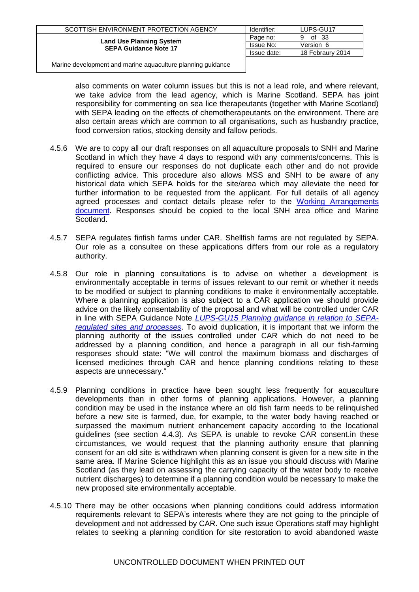| SCOTTISH ENVIRONMENT PROTECTION AGENCY                          | Identifier: | LUPS-GU17        |
|-----------------------------------------------------------------|-------------|------------------|
|                                                                 | Page no:    | of 33<br>9       |
| <b>Land Use Planning System</b><br><b>SEPA Guidance Note 17</b> | Issue No:   | Version 6        |
|                                                                 | Issue date: | 18 Febraury 2014 |
|                                                                 |             |                  |

also comments on water column issues but this is not a lead role, and where relevant, we take advice from the lead agency, which is Marine Scotland. SEPA has joint responsibility for commenting on sea lice therapeutants (together with Marine Scotland) with SEPA leading on the effects of chemotherapeutants on the environment. There are also certain areas which are common to all organisations, such as husbandry practice, food conversion ratios, stocking density and fallow periods.

- 4.5.6 We are to copy all our draft responses on all aquaculture proposals to SNH and Marine Scotland in which they have 4 days to respond with any comments/concerns. This is required to ensure our responses do not duplicate each other and do not provide conflicting advice. This procedure also allows MSS and SNH to be aware of any historical data which SEPA holds for the site/area which may alleviate the need for further information to be requested from the applicant. For full details of all agency agreed processes and contact details please refer to the Working Arrangements [document.](http://www.sepa.org.uk/planning/fish_farming.aspx) Responses should be copied to the local SNH area office and Marine Scotland.
- 4.5.7 SEPA regulates finfish farms under CAR. Shellfish farms are not regulated by SEPA. Our role as a consultee on these applications differs from our role as a regulatory authority.
- 4.5.8 Our role in planning consultations is to advise on whether a development is environmentally acceptable in terms of issues relevant to our remit or whether it needs to be modified or subject to planning conditions to make it environmentally acceptable. Where a planning application is also subject to a CAR application we should provide advice on the likely consentability of the proposal and what will be controlled under CAR in line with SEPA Guidance Note *[LUPS-GU15 Planning guidance in relation to SEPA](http://www.sepa.org.uk/customer_information/idoc.ashx?docid=246cf3f6-4bc0-4de2-bd36-8f3b83b05160&version=-1)[regulated sites and processes](http://www.sepa.org.uk/customer_information/idoc.ashx?docid=246cf3f6-4bc0-4de2-bd36-8f3b83b05160&version=-1)*. To avoid duplication, it is important that we inform the planning authority of the issues controlled under CAR which do not need to be addressed by a planning condition, and hence a paragraph in all our fish-farming responses should state: "We will control the maximum biomass and discharges of licensed medicines through CAR and hence planning conditions relating to these aspects are unnecessary."
- 4.5.9 Planning conditions in practice have been sought less frequently for aquaculture developments than in other forms of planning applications. However, a planning condition may be used in the instance where an old fish farm needs to be relinquished before a new site is farmed, due, for example, to the water body having reached or surpassed the maximum nutrient enhancement capacity according to the locational guidelines (see section 4.4.3). As SEPA is unable to revoke CAR consent.in these circumstances, we would request that the planning authority ensure that planning consent for an old site is withdrawn when planning consent is given for a new site in the same area. If Marine Science highlight this as an issue you should discuss with Marine Scotland (as they lead on assessing the carrying capacity of the water body to receive nutrient discharges) to determine if a planning condition would be necessary to make the new proposed site environmentally acceptable.
- 4.5.10 There may be other occasions when planning conditions could address information requirements relevant to SEPA's interests where they are not going to the principle of development and not addressed by CAR. One such issue Operations staff may highlight relates to seeking a planning condition for site restoration to avoid abandoned waste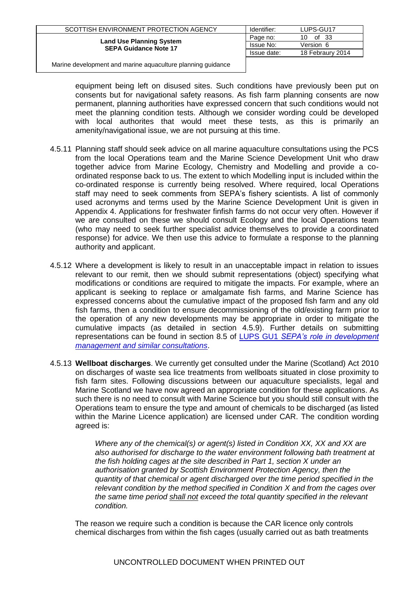| SCOTTISH ENVIRONMENT PROTECTION AGENCY                          | Identifier: | LUPS-GU17        |
|-----------------------------------------------------------------|-------------|------------------|
|                                                                 | Page no:    | of 33<br>10      |
| <b>Land Use Planning System</b><br><b>SEPA Guidance Note 17</b> | Issue No:   | Version 6        |
|                                                                 | Issue date: | 18 Febraury 2014 |
|                                                                 |             |                  |

equipment being left on disused sites. Such conditions have previously been put on consents but for navigational safety reasons. As fish farm planning consents are now permanent, planning authorities have expressed concern that such conditions would not meet the planning condition tests. Although we consider wording could be developed with local authorites that would meet these tests, as this is primarily an amenity/navigational issue, we are not pursuing at this time.

- 4.5.11 Planning staff should seek advice on all marine aquaculture consultations using the PCS from the local Operations team and the Marine Science Development Unit who draw together advice from Marine Ecology, Chemistry and Modelling and provide a coordinated response back to us. The extent to which Modelling input is included within the co-ordinated response is currently being resolved. Where required, local Operations staff may need to seek comments from SEPA's fishery scientists. A list of commonly used acronyms and terms used by the Marine Science Development Unit is given in Appendix 4. Applications for freshwater finfish farms do not occur very often. However if we are consulted on these we should consult Ecology and the local Operations team (who may need to seek further specialist advice themselves to provide a coordinated response) for advice. We then use this advice to formulate a response to the planning authority and applicant.
- 4.5.12 Where a development is likely to result in an unacceptable impact in relation to issues relevant to our remit, then we should submit representations (object) specifying what modifications or conditions are required to mitigate the impacts. For example, where an applicant is seeking to replace or amalgamate fish farms, and Marine Science has expressed concerns about the cumulative impact of the proposed fish farm and any old fish farms, then a condition to ensure decommissioning of the old/existing farm prior to the operation of any new developments may be appropriate in order to mitigate the cumulative impacts (as detailed in section 4.5.9). Further details on submitting representations can be found in section 8.5 of LUPS GU1 *[SEPA's role in development](http://www.sepa.org.uk/customer_information/idoc.ashx?docid=08dfead0-1928-40b3-9d93-cf2946ba8ff1&version=-1)  [management and similar consultations](http://www.sepa.org.uk/customer_information/idoc.ashx?docid=08dfead0-1928-40b3-9d93-cf2946ba8ff1&version=-1)*.
- 4.5.13 **Wellboat discharges**. We currently get consulted under the Marine (Scotland) Act 2010 on discharges of waste sea lice treatments from wellboats situated in close proximity to fish farm sites. Following discussions between our aquaculture specialists, legal and Marine Scotland we have now agreed an appropriate condition for these applications. As such there is no need to consult with Marine Science but you should still consult with the Operations team to ensure the type and amount of chemicals to be discharged (as listed within the Marine Licence application) are licensed under CAR. The condition wording agreed is:

*Where any of the chemical(s) or agent(s) listed in Condition XX, XX and XX are also authorised for discharge to the water environment following bath treatment at the fish holding cages at the site described in Part 1, section X under an authorisation granted by Scottish Environment Protection Agency, then the quantity of that chemical or agent discharged over the time period specified in the relevant condition by the method specified in Condition X and from the cages over the same time period shall not exceed the total quantity specified in the relevant condition.*

The reason we require such a condition is because the CAR licence only controls chemical discharges from within the fish cages (usually carried out as bath treatments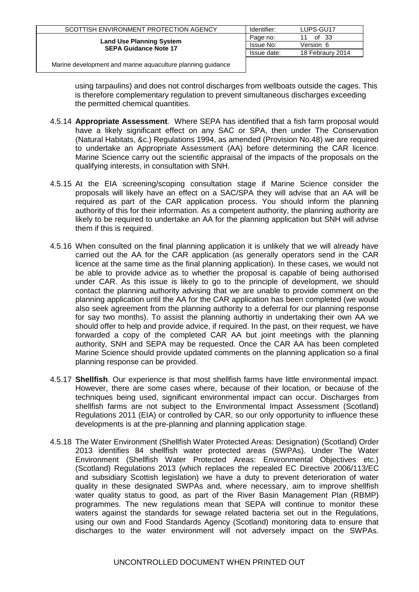| SCOTTISH ENVIRONMENT PROTECTION AGENCY                          | Identifier: | LUPS-GU17        |
|-----------------------------------------------------------------|-------------|------------------|
|                                                                 | Page no:    | of 33            |
| <b>Land Use Planning System</b><br><b>SEPA Guidance Note 17</b> | Issue No:   | Version 6        |
|                                                                 | Issue date: | 18 Febraury 2014 |
|                                                                 |             |                  |

using tarpaulins) and does not control discharges from wellboats outside the cages. This is therefore complementary regulation to prevent simultaneous discharges exceeding the permitted chemical quantities.

- 4.5.14 **Appropriate Assessment**. Where SEPA has identified that a fish farm proposal would have a likely significant effect on any SAC or SPA, then under The Conservation (Natural Habitats, &c.) Regulations 1994, as amended (Provision No.48) we are required to undertake an Appropriate Assessment (AA) before determining the CAR licence. Marine Science carry out the scientific appraisal of the impacts of the proposals on the qualifying interests, in consultation with SNH.
- 4.5.15 At the EIA screening/scoping consultation stage if Marine Science consider the proposals will likely have an effect on a SAC/SPA they will advise that an AA will be required as part of the CAR application process. You should inform the planning authority of this for their information. As a competent authority, the planning authority are likely to be required to undertake an AA for the planning application but SNH will advise them if this is required.
- 4.5.16 When consulted on the final planning application it is unlikely that we will already have carried out the AA for the CAR application (as generally operators send in the CAR licence at the same time as the final planning application). In these cases, we would not be able to provide advice as to whether the proposal is capable of being authorised under CAR. As this issue is likely to go to the principle of development, we should contact the planning authority advising that we are unable to provide comment on the planning application until the AA for the CAR application has been completed (we would also seek agreement from the planning authority to a deferral for our planning response for say two months). To assist the planning authortiy in undertaking their own AA we should offer to help and provide advice, if required. In the past, on their request, we have forwarded a copy of the completed CAR AA but joint meetings with the planning authority, SNH and SEPA may be requested. Once the CAR AA has been completed Marine Science should provide updated comments on the planning application so a final planning response can be provided.
- 4.5.17 **Shellfish**. Our experience is that most shellfish farms have little environmental impact. However, there are some cases where, because of their location, or because of the techniques being used, significant environmental impact can occur. Discharges from shellfish farms are not subject to the Environmental Impact Assessment (Scotland) Regulations 2011 (EIA) or controlled by CAR, so our only opportunity to influence these developments is at the pre-planning and planning application stage.
- 4.5.18 The Water Environment (Shellfish Water Protected Areas: Designation) (Scotland) Order 2013 identifies 84 shellfish water protected areas (SWPAs). Under The Water Environment (Shellfish Water Protected Areas: Environmental Objectives etc.) (Scotland) Regulations 2013 (which replaces the repealed EC Directive 2006/113/EC and subsidiary Scottish legislation) we have a duty to prevent deterioration of water quality in these designated SWPAs and, where necessary, aim to improve shellfish water quality status to good, as part of the River Basin Management Plan (RBMP) programmes. The new regulations mean that SEPA will continue to monitor these waters against the standards for sewage related bacteria set out in the Regulations, using our own and Food Standards Agency (Scotland) monitoring data to ensure that discharges to the water environment will not adversely impact on the SWPAs.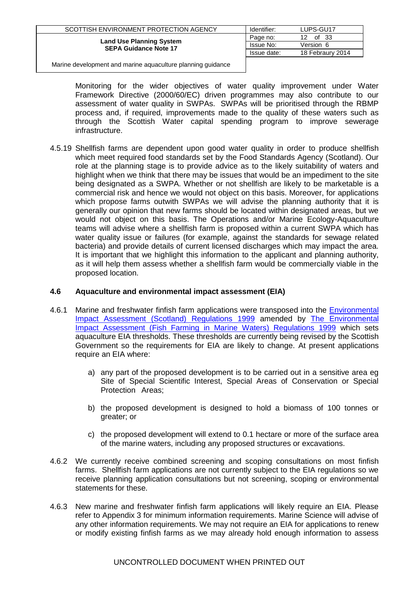| SCOTTISH ENVIRONMENT PROTECTION AGENCY                          | Identifier: | LUPS-GU17                |
|-----------------------------------------------------------------|-------------|--------------------------|
| <b>Land Use Planning System</b><br><b>SEPA Guidance Note 17</b> | Page no:    | of 33<br>12 <sup>1</sup> |
|                                                                 | Issue No:   | Version 6                |
|                                                                 | Issue date: | 18 Febraury 2014         |
|                                                                 |             |                          |

Monitoring for the wider objectives of water quality improvement under Water Framework Directive (2000/60/EC) driven programmes may also contribute to our assessment of water quality in SWPAs. SWPAs will be prioritised through the RBMP process and, if required, improvements made to the quality of these waters such as through the Scottish Water capital spending program to improve sewerage infrastructure.

4.5.19 Shellfish farms are dependent upon good water quality in order to produce shellfish which meet required food standards set by the Food Standards Agency (Scotland). Our role at the planning stage is to provide advice as to the likely suitability of waters and highlight when we think that there may be issues that would be an impediment to the site being designated as a SWPA. Whether or not shellfish are likely to be marketable is a commercial risk and hence we would not object on this basis. Moreover, for applications which propose farms outwith SWPAs we will advise the planning authority that it is generally our opinion that new farms should be located within designated areas, but we would not object on this basis. The Operations and/or Marine Ecology-Aquaculture teams will advise where a shellfish farm is proposed within a current SWPA which has water quality issue or failures (for example, against the standards for sewage related bacteria) and provide details of current licensed discharges which may impact the area. It is important that we highlight this information to the applicant and planning authority, as it will help them assess whether a shellfish farm would be commercially viable in the proposed location.

#### <span id="page-11-0"></span>**4.6 Aquaculture and environmental impact assessment (EIA)**

- 4.6.1 Marine and freshwater finfish farm applications were transposed into the Environmental [Impact Assessment \(Scotland\) Regulations 1999](http://www.opsi.gov.uk/legislation/scotland/ssi1999/19990001.htm) amended by [The Environmental](http://www.opsi.gov.uk/si/si1999/19990367.htm)  [Impact Assessment \(Fish Farming in Marine Waters\) Regulations 1999](http://www.opsi.gov.uk/si/si1999/19990367.htm) which sets aquaculture EIA thresholds. These thresholds are currently being revised by the Scottish Government so the requirements for EIA are likely to change. At present applications require an EIA where:
	- a) any part of the proposed development is to be carried out in a sensitive area eg Site of Special Scientific Interest, Special Areas of Conservation or Special Protection Areas;
	- b) the proposed development is designed to hold a biomass of 100 tonnes or greater; or
	- c) the proposed development will extend to 0.1 hectare or more of the surface area of the marine waters, including any proposed structures or excavations.
- 4.6.2 We currently receive combined screening and scoping consultations on most finfish farms. Shellfish farm applications are not currently subject to the EIA regulations so we receive planning application consultations but not screening, scoping or environmental statements for these.
- 4.6.3 New marine and freshwater finfish farm applications will likely require an EIA. Please refer to Appendix 3 for minimum information requirements. Marine Science will advise of any other information requirements. We may not require an EIA for applications to renew or modify existing finfish farms as we may already hold enough information to assess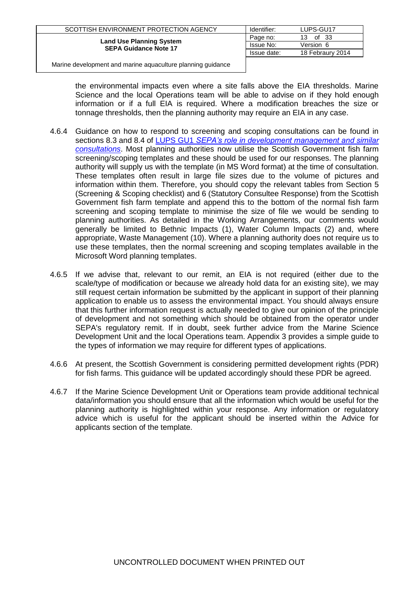| SCOTTISH ENVIRONMENT PROTECTION AGENCY                          | Identifier: | LUPS-GU17        |
|-----------------------------------------------------------------|-------------|------------------|
| <b>Land Use Planning System</b><br><b>SEPA Guidance Note 17</b> | Page no:    | of 33<br>13      |
|                                                                 | Issue No:   | Version 6        |
|                                                                 | Issue date: | 18 Febraury 2014 |
|                                                                 |             |                  |

the environmental impacts even where a site falls above the EIA thresholds. Marine Science and the local Operations team will be able to advise on if they hold enough information or if a full EIA is required. Where a modification breaches the size or tonnage thresholds, then the planning authority may require an EIA in any case.

- 4.6.4 Guidance on how to respond to screening and scoping consultations can be found in sections 8.3 and 8.4 of LUPS GU1 *[SEPA's role in development management and similar](http://www.sepa.org.uk/customer_information/idoc.ashx?docid=08dfead0-1928-40b3-9d93-cf2946ba8ff1&version=-1)  [consultations](http://www.sepa.org.uk/customer_information/idoc.ashx?docid=08dfead0-1928-40b3-9d93-cf2946ba8ff1&version=-1)*. Most planning authorities now utilise the Scottish Government fish farm screening/scoping templates and these should be used for our responses. The planning authority will supply us with the template (in MS Word format) at the time of consultation. These templates often result in large file sizes due to the volume of pictures and information within them. Therefore, you should copy the relevant tables from Section 5 (Screening & Scoping checklist) and 6 (Statutory Consultee Response) from the Scottish Government fish farm template and append this to the bottom of the normal fish farm screening and scoping template to minimise the size of file we would be sending to planning authorities. As detailed in the Working Arrangements, our comments would generally be limited to Bethnic Impacts (1), Water Column Impacts (2) and, where appropriate, Waste Management (10). Where a planning authority does not require us to use these templates, then the normal screening and scoping templates available in the Microsoft Word planning templates.
- 4.6.5 If we advise that, relevant to our remit, an EIA is not required (either due to the scale/type of modification or because we already hold data for an existing site), we may still request certain information be submitted by the applicant in support of their planning application to enable us to assess the environmental impact. You should always ensure that this further information request is actually needed to give our opinion of the principle of development and not something which should be obtained from the operator under SEPA's regulatory remit. If in doubt, seek further advice from the Marine Science Development Unit and the local Operations team. Appendix 3 provides a simple guide to the types of information we may require for different types of applications.
- 4.6.6 At present, the Scottish Government is considering permitted development rights (PDR) for fish farms. This guidance will be updated accordingly should these PDR be agreed.
- 4.6.7 If the Marine Science Development Unit or Operations team provide additional technical data/information you should ensure that all the information which would be useful for the planning authority is highlighted within your response. Any information or regulatory advice which is useful for the applicant should be inserted within the Advice for applicants section of the template.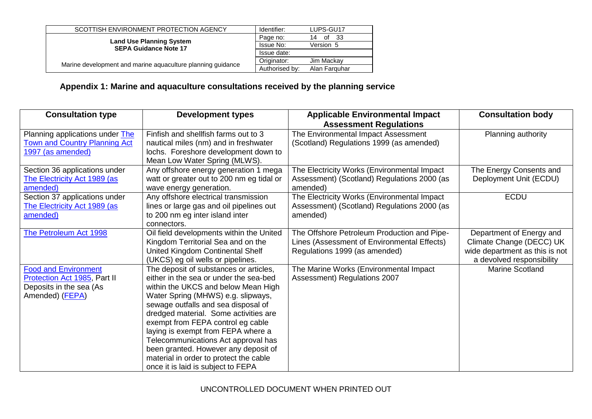| SCOTTISH ENVIRONMENT PROTECTION AGENCY                          | Identifier:    | LUPS-GU17        |
|-----------------------------------------------------------------|----------------|------------------|
| <b>Land Use Planning System</b><br><b>SEPA Guidance Note 17</b> | Page no:       | of<br>- 33<br>14 |
|                                                                 | Issue No:      | Version 5        |
|                                                                 | Issue date:    |                  |
|                                                                 | Originator:    | Jim Mackay       |
| Marine development and marine aquaculture planning quidance     | Authorised by: | Alan Farguhar    |

# **Appendix 1: Marine and aquaculture consultations received by the planning service**

<span id="page-13-0"></span>

| <b>Consultation type</b>                                                                                  | <b>Development types</b>                                                                                                                                                                                                                                                                                                                                                                                                                                                                | <b>Applicable Environmental Impact</b><br><b>Assessment Regulations</b>                                                     | <b>Consultation body</b>                                                                                            |
|-----------------------------------------------------------------------------------------------------------|-----------------------------------------------------------------------------------------------------------------------------------------------------------------------------------------------------------------------------------------------------------------------------------------------------------------------------------------------------------------------------------------------------------------------------------------------------------------------------------------|-----------------------------------------------------------------------------------------------------------------------------|---------------------------------------------------------------------------------------------------------------------|
| Planning applications under The<br><b>Town and Country Planning Act</b><br>1997 (as amended)              | Finfish and shellfish farms out to 3<br>nautical miles (nm) and in freshwater<br>lochs. Foreshore development down to<br>Mean Low Water Spring (MLWS).                                                                                                                                                                                                                                                                                                                                  | The Environmental Impact Assessment<br>(Scotland) Regulations 1999 (as amended)                                             | Planning authority                                                                                                  |
| Section 36 applications under<br>The Electricity Act 1989 (as<br>amended)                                 | Any offshore energy generation 1 mega<br>watt or greater out to 200 nm eg tidal or<br>wave energy generation.                                                                                                                                                                                                                                                                                                                                                                           | The Electricity Works (Environmental Impact<br>Assessment) (Scotland) Regulations 2000 (as<br>amended)                      | The Energy Consents and<br>Deployment Unit (ECDU)                                                                   |
| Section 37 applications under<br>The Electricity Act 1989 (as<br>amended)                                 | Any offshore electrical transmission<br>lines or large gas and oil pipelines out<br>to 200 nm eg inter island inter<br>connectors.                                                                                                                                                                                                                                                                                                                                                      | The Electricity Works (Environmental Impact<br>Assessment) (Scotland) Regulations 2000 (as<br>amended)                      | <b>ECDU</b>                                                                                                         |
| The Petroleum Act 1998                                                                                    | Oil field developments within the United<br>Kingdom Territorial Sea and on the<br>United Kingdom Continental Shelf<br>(UKCS) eg oil wells or pipelines.                                                                                                                                                                                                                                                                                                                                 | The Offshore Petroleum Production and Pipe-<br>Lines (Assessment of Environmental Effects)<br>Regulations 1999 (as amended) | Department of Energy and<br>Climate Change (DECC) UK<br>wide department as this is not<br>a devolved responsibility |
| <b>Food and Environment</b><br>Protection Act 1985, Part II<br>Deposits in the sea (As<br>Amended) (FEPA) | The deposit of substances or articles,<br>either in the sea or under the sea-bed<br>within the UKCS and below Mean High<br>Water Spring (MHWS) e.g. slipways,<br>sewage outfalls and sea disposal of<br>dredged material. Some activities are<br>exempt from FEPA control eg cable<br>laying is exempt from FEPA where a<br>Telecommunications Act approval has<br>been granted. However any deposit of<br>material in order to protect the cable<br>once it is laid is subject to FEPA | The Marine Works (Environmental Impact<br>Assessment) Regulations 2007                                                      | <b>Marine Scotland</b>                                                                                              |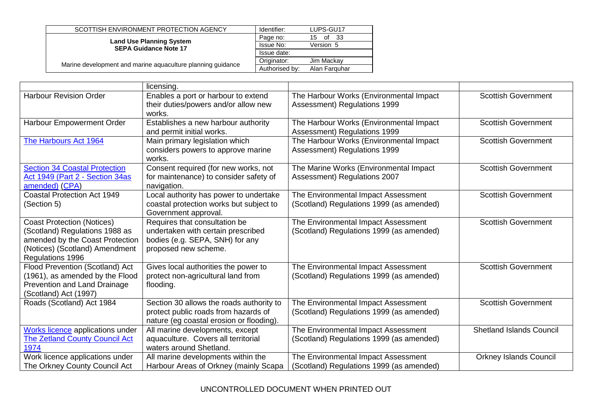| SCOTTISH ENVIRONMENT PROTECTION AGENCY                          | Identifier:    | LUPS-GU17        |
|-----------------------------------------------------------------|----------------|------------------|
| <b>Land Use Planning System</b><br><b>SEPA Guidance Note 17</b> | Page no:       | - 33<br>of<br>15 |
|                                                                 | Issue No:      | Version 5        |
|                                                                 | Issue date:    |                  |
| Marine development and marine aquaculture planning guidance     | Originator:    | Jim Mackay       |
|                                                                 | Authorised by: | Alan Farguhar    |

|                                                                                                                                                              | licensing.                                                                                                                     |                                                                                 |                                 |
|--------------------------------------------------------------------------------------------------------------------------------------------------------------|--------------------------------------------------------------------------------------------------------------------------------|---------------------------------------------------------------------------------|---------------------------------|
| <b>Harbour Revision Order</b>                                                                                                                                | Enables a port or harbour to extend<br>their duties/powers and/or allow new<br>works.                                          | The Harbour Works (Environmental Impact<br>Assessment) Regulations 1999         | <b>Scottish Government</b>      |
| Harbour Empowerment Order                                                                                                                                    | Establishes a new harbour authority<br>and permit initial works.                                                               | The Harbour Works (Environmental Impact<br>Assessment) Regulations 1999         | <b>Scottish Government</b>      |
| The Harbours Act 1964                                                                                                                                        | Main primary legislation which<br>considers powers to approve marine<br>works.                                                 | The Harbour Works (Environmental Impact<br>Assessment) Regulations 1999         | <b>Scottish Government</b>      |
| <b>Section 34 Coastal Protection</b><br>Act 1949 (Part 2 - Section 34as<br>amended) (CPA)                                                                    | Consent required (for new works, not<br>for maintenance) to consider safety of<br>navigation.                                  | The Marine Works (Environmental Impact<br>Assessment) Regulations 2007          | <b>Scottish Government</b>      |
| <b>Coastal Protection Act 1949</b><br>(Section 5)                                                                                                            | Local authority has power to undertake<br>coastal protection works but subject to<br>Government approval.                      | The Environmental Impact Assessment<br>(Scotland) Regulations 1999 (as amended) | <b>Scottish Government</b>      |
| <b>Coast Protection (Notices)</b><br>(Scotland) Regulations 1988 as<br>amended by the Coast Protection<br>(Notices) (Scotland) Amendment<br>Regulations 1996 | Requires that consultation be<br>undertaken with certain prescribed<br>bodies (e.g. SEPA, SNH) for any<br>proposed new scheme. | The Environmental Impact Assessment<br>(Scotland) Regulations 1999 (as amended) | <b>Scottish Government</b>      |
| Flood Prevention (Scotland) Act<br>(1961), as amended by the Flood<br>Prevention and Land Drainage<br>(Scotland) Act (1997)                                  | Gives local authorities the power to<br>protect non-agricultural land from<br>flooding.                                        | The Environmental Impact Assessment<br>(Scotland) Regulations 1999 (as amended) | <b>Scottish Government</b>      |
| Roads (Scotland) Act 1984                                                                                                                                    | Section 30 allows the roads authority to<br>protect public roads from hazards of<br>nature (eg coastal erosion or flooding).   | The Environmental Impact Assessment<br>(Scotland) Regulations 1999 (as amended) | <b>Scottish Government</b>      |
| <b>Works licence</b> applications under<br>The Zetland County Council Act<br>1974                                                                            | All marine developments, except<br>aquaculture. Covers all territorial<br>waters around Shetland.                              | The Environmental Impact Assessment<br>(Scotland) Regulations 1999 (as amended) | <b>Shetland Islands Council</b> |
| Work licence applications under<br>The Orkney County Council Act                                                                                             | All marine developments within the<br>Harbour Areas of Orkney (mainly Scapa                                                    | The Environmental Impact Assessment<br>(Scotland) Regulations 1999 (as amended) | <b>Orkney Islands Council</b>   |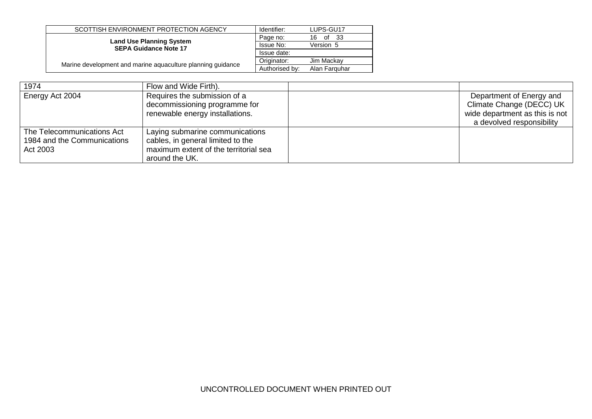| SCOTTISH ENVIRONMENT PROTECTION AGENCY                          | Identifier:    | LUPS-GU17        |
|-----------------------------------------------------------------|----------------|------------------|
|                                                                 | Page no:       | - 33<br>of<br>16 |
| <b>Land Use Planning System</b><br><b>SEPA Guidance Note 17</b> | Issue No:      | Version 5        |
|                                                                 | Issue date:    |                  |
|                                                                 | Originator:    | Jim Mackav       |
| Marine development and marine aquaculture planning quidance     | Authorised by: | Alan Farguhar    |

| 1974                                                                  | Flow and Wide Firth).                                                                                                           |                                                                                                                     |
|-----------------------------------------------------------------------|---------------------------------------------------------------------------------------------------------------------------------|---------------------------------------------------------------------------------------------------------------------|
| Energy Act 2004                                                       | Requires the submission of a<br>decommissioning programme for<br>renewable energy installations.                                | Department of Energy and<br>Climate Change (DECC) UK<br>wide department as this is not<br>a devolved responsibility |
| The Telecommunications Act<br>1984 and the Communications<br>Act 2003 | Laying submarine communications<br>cables, in general limited to the<br>maximum extent of the territorial sea<br>around the UK. |                                                                                                                     |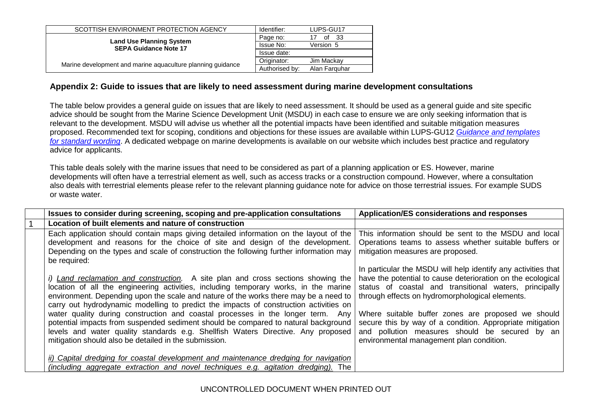| SCOTTISH ENVIRONMENT PROTECTION AGENCY                          | Identifier:    | LUPS-GU17     |
|-----------------------------------------------------------------|----------------|---------------|
|                                                                 | Page no:       | of<br>- 33    |
| <b>Land Use Planning System</b><br><b>SEPA Guidance Note 17</b> | Issue No:      | Version 5     |
|                                                                 | Issue date:    |               |
|                                                                 | Originator:    | Jim Mackav    |
| Marine development and marine aquaculture planning quidance     | Authorised by: | Alan Farguhar |

### **Appendix 2: Guide to issues that are likely to need assessment during marine development consultations**

The table below provides a general guide on issues that are likely to need assessment. It should be used as a general guide and site specific advice should be sought from the Marine Science Development Unit (MSDU) in each case to ensure we are only seeking information that is relevant to the development. MSDU will advise us whether all the potential impacts have been identified and suitable mitigation measures proposed. Recommended text for scoping, conditions and objections for these issues are available within LUPS-GU12 *[Guidance and templates](http://www.sepa.org.uk/customer_information/idoc.ashx?docid=ebbe3f72-dbf9-4000-940e-08fb6021935f&version=-1)  [for standard wording](http://www.sepa.org.uk/customer_information/idoc.ashx?docid=ebbe3f72-dbf9-4000-940e-08fb6021935f&version=-1)*. A dedicated webpage on marine developments is available on our website which includes best practice and regulatory advice for applicants.

This table deals solely with the marine issues that need to be considered as part of a planning application or ES. However, marine developments will often have a terrestrial element as well, such as access tracks or a construction compound. However, where a consultation also deals with terrestrial elements please refer to the relevant planning guidance note for advice on those terrestrial issues. For example SUDS or waste water.

<span id="page-16-0"></span>

| Issues to consider during screening, scoping and pre-application consultations                                                                                                                                                                                                                                                                                                                                                                                                                                                                                                                                                                                                         | Application/ES considerations and responses                                                                                                                                                                                                                                                                                                                                                                                                                |
|----------------------------------------------------------------------------------------------------------------------------------------------------------------------------------------------------------------------------------------------------------------------------------------------------------------------------------------------------------------------------------------------------------------------------------------------------------------------------------------------------------------------------------------------------------------------------------------------------------------------------------------------------------------------------------------|------------------------------------------------------------------------------------------------------------------------------------------------------------------------------------------------------------------------------------------------------------------------------------------------------------------------------------------------------------------------------------------------------------------------------------------------------------|
| Location of built elements and nature of construction                                                                                                                                                                                                                                                                                                                                                                                                                                                                                                                                                                                                                                  |                                                                                                                                                                                                                                                                                                                                                                                                                                                            |
| Each application should contain maps giving detailed information on the layout of the<br>development and reasons for the choice of site and design of the development.<br>Depending on the types and scale of construction the following further information may<br>be required:                                                                                                                                                                                                                                                                                                                                                                                                       | This information should be sent to the MSDU and local<br>Operations teams to assess whether suitable buffers or<br>mitigation measures are proposed.                                                                                                                                                                                                                                                                                                       |
| <i>i)</i> Land reclamation and construction. A site plan and cross sections showing the<br>location of all the engineering activities, including temporary works, in the marine<br>environment. Depending upon the scale and nature of the works there may be a need to<br>carry out hydrodynamic modelling to predict the impacts of construction activities on<br>water quality during construction and coastal processes in the longer term. Any<br>potential impacts from suspended sediment should be compared to natural background<br>levels and water quality standards e.g. Shellfish Waters Directive. Any proposed<br>mitigation should also be detailed in the submission. | In particular the MSDU will help identify any activities that<br>have the potential to cause deterioration on the ecological<br>status of coastal and transitional waters, principally<br>through effects on hydromorphological elements.<br>Where suitable buffer zones are proposed we should<br>secure this by way of a condition. Appropriate mitigation<br>and pollution measures should be secured by an<br>environmental management plan condition. |
| ii) Capital dredging for coastal development and maintenance dredging for navigation                                                                                                                                                                                                                                                                                                                                                                                                                                                                                                                                                                                                   |                                                                                                                                                                                                                                                                                                                                                                                                                                                            |
| (including aggregate extraction and novel techniques e.g. agitation dredging). The                                                                                                                                                                                                                                                                                                                                                                                                                                                                                                                                                                                                     |                                                                                                                                                                                                                                                                                                                                                                                                                                                            |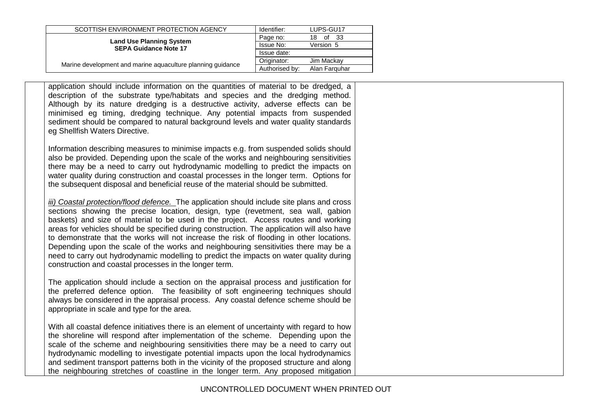| SCOTTISH ENVIRONMENT PROTECTION AGENCY                          | Identifier:    | LUPS-GU17        |
|-----------------------------------------------------------------|----------------|------------------|
| <b>Land Use Planning System</b><br><b>SEPA Guidance Note 17</b> | Page no:       | of<br>- 33<br>18 |
|                                                                 | Issue No:      | Version 5        |
|                                                                 | Issue date:    |                  |
|                                                                 | Originator:    | Jim Mackay       |
| Marine development and marine aquaculture planning guidance     | Authorised by: | Alan Farguhar    |

application should include information on the quantities of material to be dredged, a description of the substrate type/habitats and species and the dredging method. Although by its nature dredging is a destructive activity, adverse effects can be minimised eg timing, dredging technique. Any potential impacts from suspended sediment should be compared to natural background levels and water quality standards eg Shellfish Waters Directive.

Information describing measures to minimise impacts e.g. from suspended solids should also be provided. Depending upon the scale of the works and neighbouring sensitivities there may be a need to carry out hydrodynamic modelling to predict the impacts on water quality during construction and coastal processes in the longer term. Options for the subsequent disposal and beneficial reuse of the material should be submitted.

*iii) Coastal protection/flood defence.* The application should include site plans and cross sections showing the precise location, design, type (revetment, sea wall, gabion baskets) and size of material to be used in the project. Access routes and working areas for vehicles should be specified during construction. The application will also have to demonstrate that the works will not increase the risk of flooding in other locations. Depending upon the scale of the works and neighbouring sensitivities there may be a need to carry out hydrodynamic modelling to predict the impacts on water quality during construction and coastal processes in the longer term.

The application should include a section on the appraisal process and justification for the preferred defence option. The feasibility of soft engineering techniques should always be considered in the appraisal process. Any coastal defence scheme should be appropriate in scale and type for the area.

With all coastal defence initiatives there is an element of uncertainty with regard to how the shoreline will respond after implementation of the scheme. Depending upon the scale of the scheme and neighbouring sensitivities there may be a need to carry out hydrodynamic modelling to investigate potential impacts upon the local hydrodynamics and sediment transport patterns both in the vicinity of the proposed structure and along the neighbouring stretches of coastline in the longer term. Any proposed mitigation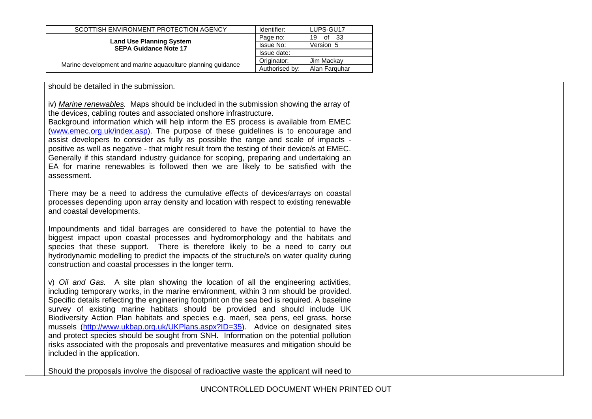| SCOTTISH ENVIRONMENT PROTECTION AGENCY                          | Identifier:    | LUPS-GU17       |
|-----------------------------------------------------------------|----------------|-----------------|
|                                                                 | Page no:       | -33<br>19<br>of |
| <b>Land Use Planning System</b><br><b>SEPA Guidance Note 17</b> | Issue No:      | Version 5       |
|                                                                 | Issue date:    |                 |
| Marine development and marine aquaculture planning guidance     | Originator:    | Jim Mackav      |
|                                                                 | Authorised by: | Alan Farguhar   |

should be detailed in the submission.

iv) *Marine renewables.* Maps should be included in the submission showing the array of the devices, cabling routes and associated onshore infrastructure.

Background information which will help inform the ES process is available from EMEC [\(www.emec.org.uk/index.asp\)](http://stir-app-qpl01/QPulse5Web/lorna.maclean/Local%20Settings/Temporary%20Internet%20Files/Local%20Settings/Temporary%20Internet%20Files/OLK10/www.emec.org.uk/index.asp). The purpose of these guidelines is to encourage and assist developers to consider as fully as possible the range and scale of impacts positive as well as negative - that might result from the testing of their device/s at EMEC. Generally if this standard industry guidance for scoping, preparing and undertaking an EA for marine renewables is followed then we are likely to be satisfied with the assessment.

There may be a need to address the cumulative effects of devices/arrays on coastal processes depending upon array density and location with respect to existing renewable and coastal developments.

Impoundments and tidal barrages are considered to have the potential to have the biggest impact upon coastal processes and hydromorphology and the habitats and species that these support. There is therefore likely to be a need to carry out hydrodynamic modelling to predict the impacts of the structure/s on water quality during construction and coastal processes in the longer term.

v) *Oil and Gas.* A site plan showing the location of all the engineering activities, including temporary works, in the marine environment, within 3 nm should be provided. Specific details reflecting the engineering footprint on the sea bed is required. A baseline survey of existing marine habitats should be provided and should include UK Biodiversity Action Plan habitats and species e.g. maerl, sea pens, eel grass, horse mussels [\(http://www.ukbap.org.uk/UKPlans.aspx?ID=35\)](http://www.ukbap.org.uk/UKPlans.aspx?ID=35). Advice on designated sites and protect species should be sought from SNH. Information on the potential pollution risks associated with the proposals and preventative measures and mitigation should be included in the application.

Should the proposals involve the disposal of radioactive waste the applicant will need to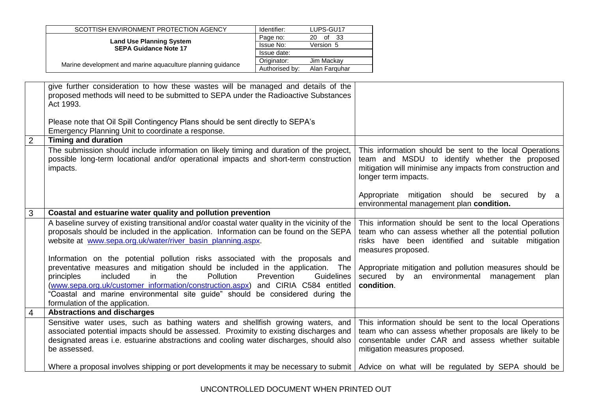|                | SCOTTISH ENVIRONMENT PROTECTION AGENCY                                                                                                                                                                                                                                                                                                      | Identifier:<br>LUPS-GU17              |                                                                                                                                                                                                         |
|----------------|---------------------------------------------------------------------------------------------------------------------------------------------------------------------------------------------------------------------------------------------------------------------------------------------------------------------------------------------|---------------------------------------|---------------------------------------------------------------------------------------------------------------------------------------------------------------------------------------------------------|
|                | <b>Land Use Planning System</b>                                                                                                                                                                                                                                                                                                             | 20 of 33<br>Page no:                  |                                                                                                                                                                                                         |
|                | <b>SEPA Guidance Note 17</b>                                                                                                                                                                                                                                                                                                                | Issue No:<br>Version 5<br>Issue date: |                                                                                                                                                                                                         |
|                |                                                                                                                                                                                                                                                                                                                                             | Originator:<br>Jim Mackay             |                                                                                                                                                                                                         |
|                | Marine development and marine aquaculture planning guidance                                                                                                                                                                                                                                                                                 | Authorised by:<br>Alan Farquhar       |                                                                                                                                                                                                         |
|                |                                                                                                                                                                                                                                                                                                                                             |                                       |                                                                                                                                                                                                         |
|                | give further consideration to how these wastes will be managed and details of the<br>proposed methods will need to be submitted to SEPA under the Radioactive Substances<br>Act 1993.<br>Please note that Oil Spill Contingency Plans should be sent directly to SEPA's                                                                     |                                       |                                                                                                                                                                                                         |
|                | Emergency Planning Unit to coordinate a response.                                                                                                                                                                                                                                                                                           |                                       |                                                                                                                                                                                                         |
| $\overline{2}$ | <b>Timing and duration</b>                                                                                                                                                                                                                                                                                                                  |                                       |                                                                                                                                                                                                         |
|                |                                                                                                                                                                                                                                                                                                                                             |                                       |                                                                                                                                                                                                         |
|                | The submission should include information on likely timing and duration of the project,<br>possible long-term locational and/or operational impacts and short-term construction<br>impacts.                                                                                                                                                 |                                       | This information should be sent to the local Operations<br>team and MSDU to identify whether the proposed<br>mitigation will minimise any impacts from construction and<br>longer term impacts.         |
|                |                                                                                                                                                                                                                                                                                                                                             |                                       | Appropriate mitigation should be secured by a<br>environmental management plan condition.                                                                                                               |
| 3              | Coastal and estuarine water quality and pollution prevention                                                                                                                                                                                                                                                                                |                                       |                                                                                                                                                                                                         |
|                | A baseline survey of existing transitional and/or coastal water quality in the vicinity of the<br>proposals should be included in the application. Information can be found on the SEPA<br>website at www.sepa.org.uk/water/river_basin_planning.aspx.<br>Information on the potential pollution risks associated with the proposals and    |                                       | This information should be sent to the local Operations<br>team who can assess whether all the potential pollution<br>risks have been identified and suitable mitigation<br>measures proposed.          |
|                | preventative measures and mitigation should be included in the application. The<br>included<br>Pollution<br>principles<br>the<br>in<br>(www.sepa.org.uk/customer_information/construction.aspx) and CIRIA C584 entitled<br>"Coastal and marine environmental site guide" should be considered during the<br>formulation of the application. | Prevention<br><b>Guidelines</b>       | Appropriate mitigation and pollution measures should be<br>secured by an environmental management plan<br>condition.                                                                                    |
| $\overline{4}$ | <b>Abstractions and discharges</b>                                                                                                                                                                                                                                                                                                          |                                       |                                                                                                                                                                                                         |
|                | Sensitive water uses, such as bathing waters and shellfish growing waters, and<br>associated potential impacts should be assessed. Proximity to existing discharges and<br>designated areas i.e. estuarine abstractions and cooling water discharges, should also<br>be assessed.                                                           |                                       | This information should be sent to the local Operations<br>team who can assess whether proposals are likely to be<br>consentable under CAR and assess whether suitable<br>mitigation measures proposed. |
|                | Where a proposal involves shipping or port developments it may be necessary to submit   Advice on what will be regulated by SEPA should be                                                                                                                                                                                                  |                                       |                                                                                                                                                                                                         |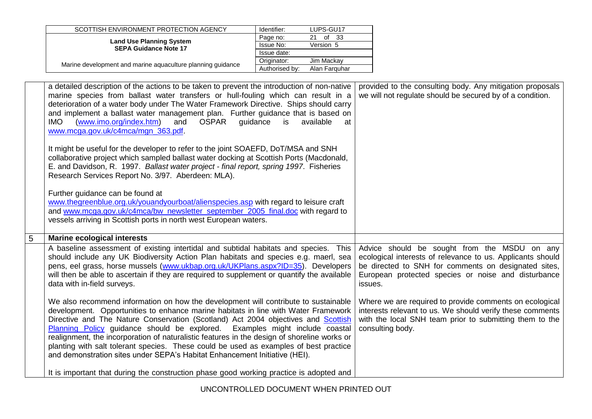| SCOTTISH ENVIRONMENT PROTECTION AGENCY                          | Identifier:    | LUPS-GU17     |
|-----------------------------------------------------------------|----------------|---------------|
|                                                                 | Page no:       | οf<br>- 33    |
| <b>Land Use Planning System</b><br><b>SEPA Guidance Note 17</b> | Issue No:      | Version 5     |
|                                                                 | Issue date:    |               |
| Marine development and marine aquaculture planning quidance     | Originator:    | Jim Mackav    |
|                                                                 | Authorised by: | Alan Farguhar |

| a detailed description of the actions to be taken to prevent the introduction of non-native<br>marine species from ballast water transfers or hull-fouling which can result in a<br>deterioration of a water body under The Water Framework Directive. Ships should carry<br>and implement a ballast water management plan. Further guidance that is based on<br>(www.imo.org/index.htm)<br><b>IMO</b><br>and<br><b>OSPAR</b><br>guidance<br>is<br>available<br>at<br>www.mcga.gov.uk/c4mca/mgn_363.pdf. | provided to the consulting body. Any mitigation proposals<br>we will not regulate should be secured by of a condition.                                                                                                               |
|----------------------------------------------------------------------------------------------------------------------------------------------------------------------------------------------------------------------------------------------------------------------------------------------------------------------------------------------------------------------------------------------------------------------------------------------------------------------------------------------------------|--------------------------------------------------------------------------------------------------------------------------------------------------------------------------------------------------------------------------------------|
| It might be useful for the developer to refer to the joint SOAEFD, DoT/MSA and SNH<br>collaborative project which sampled ballast water docking at Scottish Ports (Macdonald,<br>E. and Davidson, R. 1997. Ballast water project - final report, spring 1997. Fisheries<br>Research Services Report No. 3/97. Aberdeen: MLA).                                                                                                                                                                            |                                                                                                                                                                                                                                      |
| Further guidance can be found at<br>www.thegreenblue.org.uk/youandyourboat/alienspecies.asp with regard to leisure craft<br>and www.mcga.gov.uk/c4mca/bw_newsletter_september_2005_final.doc with regard to<br>vessels arriving in Scottish ports in north west European waters.                                                                                                                                                                                                                         |                                                                                                                                                                                                                                      |
| <b>Marine ecological interests</b>                                                                                                                                                                                                                                                                                                                                                                                                                                                                       |                                                                                                                                                                                                                                      |
| A baseline assessment of existing intertidal and subtidal habitats and species. This<br>should include any UK Biodiversity Action Plan habitats and species e.g. maerl, sea<br>pens, eel grass, horse mussels (www.ukbap.org.uk/UKPlans.aspx?ID=35). Developers<br>will then be able to ascertain if they are required to supplement or quantify the available<br>data with in-field surveys.                                                                                                            | Advice should be sought from the MSDU on any<br>ecological interests of relevance to us. Applicants should<br>be directed to SNH for comments on designated sites,<br>European protected species or noise and disturbance<br>issues. |
| We also recommend information on how the development will contribute to sustainable<br>development. Opportunities to enhance marine habitats in line with Water Framework                                                                                                                                                                                                                                                                                                                                | Where we are required to provide comments on ecological<br>interests relevant to us. We should verify these comments                                                                                                                 |
| Directive and The Nature Conservation (Scotland) Act 2004 objectives and Scottish<br>Planning Policy guidance should be explored. Examples might include coastal<br>realignment, the incorporation of naturalistic features in the design of shoreline works or<br>planting with salt tolerant species. These could be used as examples of best practice<br>and demonstration sites under SEPA's Habitat Enhancement Initiative (HEI).                                                                   | with the local SNH team prior to submitting them to the<br>consulting body.                                                                                                                                                          |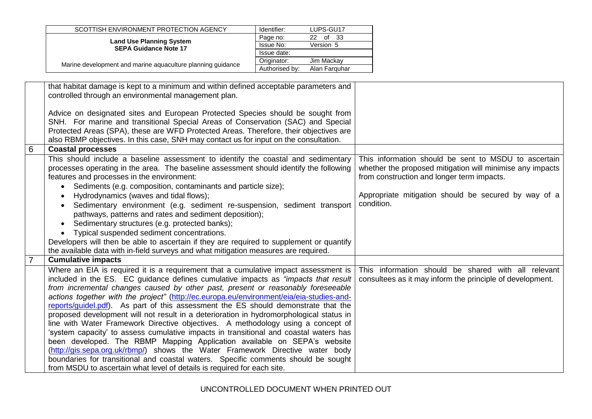|   | SCOTTISH ENVIRONMENT PROTECTION AGENCY                                                   | Identifier:    | LUPS-GU17     |                                                           |
|---|------------------------------------------------------------------------------------------|----------------|---------------|-----------------------------------------------------------|
|   | <b>Land Use Planning System</b>                                                          | Page no:       | 22 of 33      |                                                           |
|   | <b>SEPA Guidance Note 17</b>                                                             | Issue No:      | Version 5     |                                                           |
|   |                                                                                          | Issue date:    |               |                                                           |
|   | Marine development and marine aquaculture planning guidance                              | Originator:    | Jim Mackay    |                                                           |
|   |                                                                                          | Authorised by: | Alan Farquhar |                                                           |
|   | that habitat damage is kept to a minimum and within defined acceptable parameters and    |                |               |                                                           |
|   |                                                                                          |                |               |                                                           |
|   | controlled through an environmental management plan.                                     |                |               |                                                           |
|   |                                                                                          |                |               |                                                           |
|   | Advice on designated sites and European Protected Species should be sought from          |                |               |                                                           |
|   | SNH. For marine and transitional Special Areas of Conservation (SAC) and Special         |                |               |                                                           |
|   | Protected Areas (SPA), these are WFD Protected Areas. Therefore, their objectives are    |                |               |                                                           |
|   | also RBMP objectives. In this case, SNH may contact us for input on the consultation.    |                |               |                                                           |
| 6 | <b>Coastal processes</b>                                                                 |                |               |                                                           |
|   | This should include a baseline assessment to identify the coastal and sedimentary        |                |               | This information should be sent to MSDU to ascertain      |
|   | processes operating in the area. The baseline assessment should identify the following   |                |               | whether the proposed mitigation will minimise any impacts |
|   | features and processes in the environment:                                               |                |               | from construction and longer term impacts.                |
|   | Sediments (e.g. composition, contaminants and particle size);                            |                |               |                                                           |
|   | Hydrodynamics (waves and tidal flows);                                                   |                |               | Appropriate mitigation should be secured by way of a      |
|   | Sedimentary environment (e.g. sediment re-suspension, sediment transport                 |                |               | condition.                                                |
|   | pathways, patterns and rates and sediment deposition);                                   |                |               |                                                           |
|   | Sedimentary structures (e.g. protected banks);                                           |                |               |                                                           |
|   | Typical suspended sediment concentrations.                                               |                |               |                                                           |
|   | Developers will then be able to ascertain if they are required to supplement or quantify |                |               |                                                           |
|   | the available data with in-field surveys and what mitigation measures are required.      |                |               |                                                           |
|   | <b>Cumulative impacts</b>                                                                |                |               |                                                           |
|   |                                                                                          |                |               |                                                           |
|   | Where an EIA is required it is a requirement that a cumulative impact assessment is      |                |               | This information should be shared with all relevant       |
|   | included in the ES. EC guidance defines cumulative impacts as "impacts that result       |                |               | consultees as it may inform the principle of development. |
|   | from incremental changes caused by other past, present or reasonably foreseeable         |                |               |                                                           |
|   | actions together with the project" (http://ec.europa.eu/environment/eia/eia-studies-and- |                |               |                                                           |
|   | reports/guidel.pdf). As part of this assessment the ES should demonstrate that the       |                |               |                                                           |
|   | proposed development will not result in a deterioration in hydromorphological status in  |                |               |                                                           |
|   | line with Water Framework Directive objectives. A methodology using a concept of         |                |               |                                                           |
|   | 'system capacity' to assess cumulative impacts in transitional and coastal waters has    |                |               |                                                           |
|   | been developed. The RBMP Mapping Application available on SEPA's website                 |                |               |                                                           |
|   | (http://gis.sepa.org.uk/rbmp/) shows the Water Framework Directive water body            |                |               |                                                           |
|   | boundaries for transitional and coastal waters. Specific comments should be sought       |                |               |                                                           |
|   | from MSDU to ascertain what level of details is required for each site.                  |                |               |                                                           |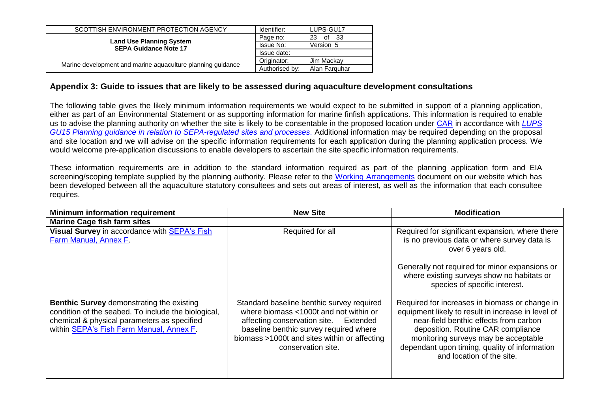| SCOTTISH ENVIRONMENT PROTECTION AGENCY                          | Identifier:    | LUPS-GU17        |
|-----------------------------------------------------------------|----------------|------------------|
|                                                                 | Page no:       | - 33<br>of<br>23 |
| <b>Land Use Planning System</b><br><b>SEPA Guidance Note 17</b> | Issue No:      | Version 5        |
|                                                                 | Issue date:    |                  |
| Marine development and marine aquaculture planning guidance     | Originator:    | Jim Mackav       |
|                                                                 | Authorised by: | Alan Farguhar    |

#### **Appendix 3: Guide to issues that are likely to be assessed during aquaculture development consultations**

The following table gives the likely minimum information requirements we would expect to be submitted in support of a planning application, either as part of an Environmental Statement or as supporting information for marine finfish applications. This information is required to enable us to advise the planning authority on whether the site is likely to be consentable in the proposed location under [CAR](http://www.sepa.org.uk/water/water_regulation.aspx) in accordance with *[LUPS](http://www.sepa.org.uk/idoc.ashx?docid=246cf3f6-4bc0-4de2-bd36-8f3b83b05160&version=-1)  [GU15 Planning guidance in relation to SEPA-regulated sites and processes](http://www.sepa.org.uk/idoc.ashx?docid=246cf3f6-4bc0-4de2-bd36-8f3b83b05160&version=-1)*. Additional information may be required depending on the proposal and site location and we will advise on the specific information requirements for each application during the planning application process. We would welcome pre-application discussions to enable developers to ascertain the site specific information requirements.

These information requirements are in addition to the standard information required as part of the planning application form and EIA screening/scoping template supplied by the planning authority. Please refer to the [Working Arrangements](http://www.sepa.org.uk/planning/fish_farming.aspx) document on our website which has been developed between all the aquaculture statutory consultees and sets out areas of interest, as well as the information that each consultee requires.

<span id="page-22-0"></span>

| <b>Minimum information requirement</b>                                                                                                                                                             | <b>New Site</b>                                                                                                                                                                                                                              | <b>Modification</b>                                                                                                                                                                                                                                                                                        |
|----------------------------------------------------------------------------------------------------------------------------------------------------------------------------------------------------|----------------------------------------------------------------------------------------------------------------------------------------------------------------------------------------------------------------------------------------------|------------------------------------------------------------------------------------------------------------------------------------------------------------------------------------------------------------------------------------------------------------------------------------------------------------|
| <b>Marine Cage fish farm sites</b>                                                                                                                                                                 |                                                                                                                                                                                                                                              |                                                                                                                                                                                                                                                                                                            |
| Visual Survey in accordance with <b>SEPA's Fish</b><br>Farm Manual, Annex F.                                                                                                                       | Required for all                                                                                                                                                                                                                             | Required for significant expansion, where there<br>is no previous data or where survey data is<br>over 6 years old.                                                                                                                                                                                        |
|                                                                                                                                                                                                    |                                                                                                                                                                                                                                              | Generally not required for minor expansions or<br>where existing surveys show no habitats or<br>species of specific interest.                                                                                                                                                                              |
| <b>Benthic Survey demonstrating the existing</b><br>condition of the seabed. To include the biological,<br>chemical & physical parameters as specified<br>within SEPA's Fish Farm Manual, Annex F. | Standard baseline benthic survey required<br>where biomass <1000t and not within or<br>affecting conservation site. Extended<br>baseline benthic survey required where<br>biomass >1000t and sites within or affecting<br>conservation site. | Required for increases in biomass or change in<br>equipment likely to result in increase in level of<br>near-field benthic effects from carbon<br>deposition. Routine CAR compliance<br>monitoring surveys may be acceptable<br>dependant upon timing, quality of information<br>and location of the site. |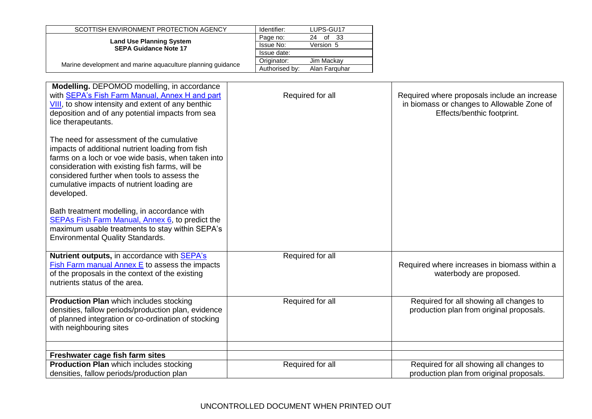| SCOTTISH ENVIRONMENT PROTECTION AGENCY                          | Identifier:      | LUPS-GU17        |
|-----------------------------------------------------------------|------------------|------------------|
|                                                                 | Page no:         | -33<br>of<br>24. |
| <b>Land Use Planning System</b><br><b>SEPA Guidance Note 17</b> | <b>Issue No:</b> | Version 5        |
|                                                                 | Issue date:      |                  |
| Marine development and marine aquaculture planning guidance     | Originator:      | Jim Mackav       |
|                                                                 | Authorised by:   | Alan Farguhar    |

| Required for all | Required where proposals include an increase<br>in biomass or changes to Allowable Zone of<br>Effects/benthic footprint. |
|------------------|--------------------------------------------------------------------------------------------------------------------------|
|                  |                                                                                                                          |
| Required for all | Required where increases in biomass within a<br>waterbody are proposed.                                                  |
| Required for all | Required for all showing all changes to<br>production plan from original proposals.                                      |
| Required for all | Required for all showing all changes to<br>production plan from original proposals.                                      |
|                  |                                                                                                                          |

## UNCONTROLLED DOCUMENT WHEN PRINTED OUT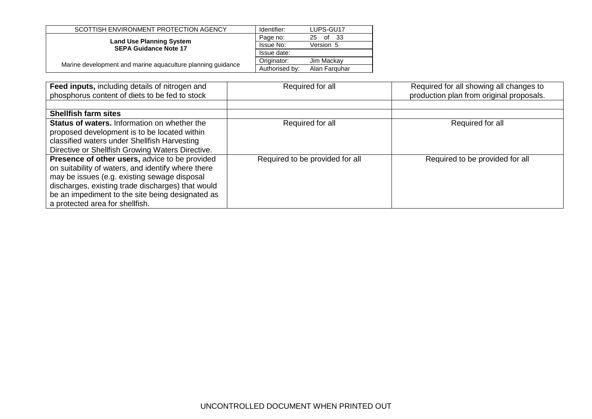| SCOTTISH ENVIRONMENT PROTECTION AGENCY                          | Identifier:    | LUPS-GU17        |
|-----------------------------------------------------------------|----------------|------------------|
|                                                                 | Page no:       | - 33<br>0f<br>25 |
| <b>Land Use Planning System</b><br><b>SEPA Guidance Note 17</b> | Issue No:      | Version 5        |
|                                                                 | Issue date:    |                  |
| Marine development and marine aquaculture planning quidance     | Originator:    | Jim Mackav       |
|                                                                 | Authorised by: | Alan Farguhar    |

| Feed inputs, including details of nitrogen and<br>phosphorus content of diets to be fed to stock                                                                                                                                                                                                 | Required for all                | Required for all showing all changes to<br>production plan from original proposals. |
|--------------------------------------------------------------------------------------------------------------------------------------------------------------------------------------------------------------------------------------------------------------------------------------------------|---------------------------------|-------------------------------------------------------------------------------------|
|                                                                                                                                                                                                                                                                                                  |                                 |                                                                                     |
| <b>Shellfish farm sites</b>                                                                                                                                                                                                                                                                      |                                 |                                                                                     |
| <b>Status of waters.</b> Information on whether the<br>proposed development is to be located within<br>classified waters under Shellfish Harvesting<br>Directive or Shellfish Growing Waters Directive.                                                                                          | Required for all                | Required for all                                                                    |
| Presence of other users, advice to be provided<br>on suitability of waters, and identify where there<br>may be issues (e.g. existing sewage disposal<br>discharges, existing trade discharges) that would<br>be an impediment to the site being designated as<br>a protected area for shellfish. | Required to be provided for all | Required to be provided for all                                                     |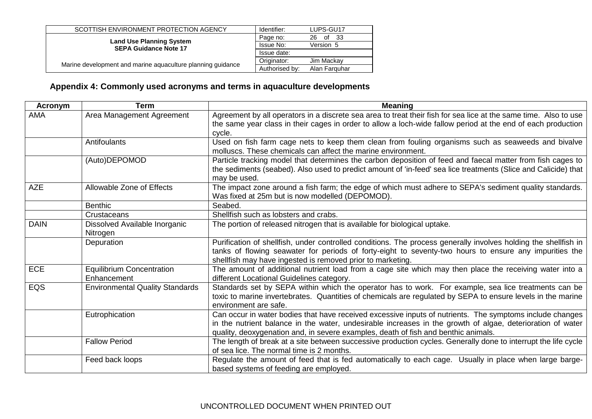| SCOTTISH ENVIRONMENT PROTECTION AGENCY                          | Identifier:    | LUPS-GU17        |
|-----------------------------------------------------------------|----------------|------------------|
|                                                                 | Page no:       | of<br>- 33<br>26 |
| <b>Land Use Planning System</b><br><b>SEPA Guidance Note 17</b> | Issue No:      | Version 5        |
|                                                                 | Issue date:    |                  |
| Marine development and marine aquaculture planning guidance     | Originator:    | Jim Mackay       |
|                                                                 | Authorised by: | Alan Farguhar    |
|                                                                 |                |                  |

# **Appendix 4: Commonly used acronyms and terms in aquaculture developments**

<span id="page-25-0"></span>

| Acronym     | <b>Term</b>                            | <b>Meaning</b>                                                                                                                                                                                                                               |
|-------------|----------------------------------------|----------------------------------------------------------------------------------------------------------------------------------------------------------------------------------------------------------------------------------------------|
| AMA         | Area Management Agreement              | Agreement by all operators in a discrete sea area to treat their fish for sea lice at the same time. Also to use                                                                                                                             |
|             |                                        | the same year class in their cages in order to allow a loch-wide fallow period at the end of each production<br>cycle.                                                                                                                       |
|             | Antifoulants                           | Used on fish farm cage nets to keep them clean from fouling organisms such as seaweeds and bivalve                                                                                                                                           |
|             |                                        | molluscs. These chemicals can affect the marine environment.                                                                                                                                                                                 |
|             | (Auto)DEPOMOD                          | Particle tracking model that determines the carbon deposition of feed and faecal matter from fish cages to<br>the sediments (seabed). Also used to predict amount of 'in-feed' sea lice treatments (Slice and Calicide) that<br>may be used. |
| <b>AZE</b>  | Allowable Zone of Effects              | The impact zone around a fish farm; the edge of which must adhere to SEPA's sediment quality standards.<br>Was fixed at 25m but is now modelled (DEPOMOD).                                                                                   |
|             | <b>Benthic</b>                         | Seabed.                                                                                                                                                                                                                                      |
|             | Crustaceans                            | Shellfish such as lobsters and crabs.                                                                                                                                                                                                        |
| <b>DAIN</b> | Dissolved Available Inorganic          | The portion of released nitrogen that is available for biological uptake.                                                                                                                                                                    |
|             | Nitrogen                               |                                                                                                                                                                                                                                              |
|             | Depuration                             | Purification of shellfish, under controlled conditions. The process generally involves holding the shellfish in                                                                                                                              |
|             |                                        | tanks of flowing seawater for periods of forty-eight to seventy-two hours to ensure any impurities the                                                                                                                                       |
|             |                                        | shellfish may have ingested is removed prior to marketing.                                                                                                                                                                                   |
| ECE         | <b>Equilibrium Concentration</b>       | The amount of additional nutrient load from a cage site which may then place the receiving water into a                                                                                                                                      |
|             | Enhancement                            | different Locational Guidelines category.                                                                                                                                                                                                    |
| EQS         | <b>Environmental Quality Standards</b> | Standards set by SEPA within which the operator has to work. For example, sea lice treatments can be                                                                                                                                         |
|             |                                        | toxic to marine invertebrates. Quantities of chemicals are regulated by SEPA to ensure levels in the marine<br>environment are safe.                                                                                                         |
|             | Eutrophication                         | Can occur in water bodies that have received excessive inputs of nutrients. The symptoms include changes                                                                                                                                     |
|             |                                        | in the nutrient balance in the water, undesirable increases in the growth of algae, deterioration of water                                                                                                                                   |
|             |                                        | quality, deoxygenation and, in severe examples, death of fish and benthic animals.                                                                                                                                                           |
|             | <b>Fallow Period</b>                   | The length of break at a site between successive production cycles. Generally done to interrupt the life cycle                                                                                                                               |
|             |                                        | of sea lice. The normal time is 2 months.                                                                                                                                                                                                    |
|             | Feed back loops                        | Regulate the amount of feed that is fed automatically to each cage. Usually in place when large barge-                                                                                                                                       |
|             |                                        | based systems of feeding are employed.                                                                                                                                                                                                       |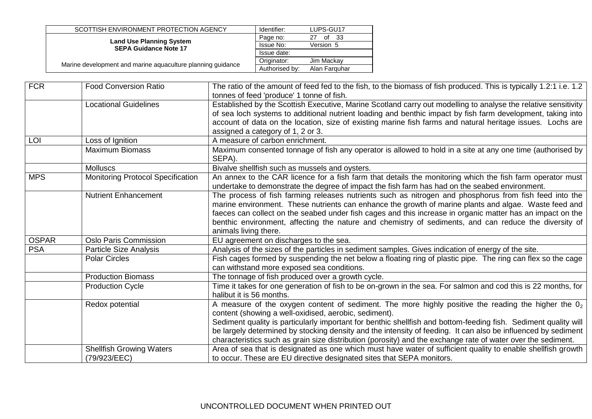| SCOTTISH ENVIRONMENT PROTECTION AGENCY                      | Identifier:    | LUPS-GU17       |
|-------------------------------------------------------------|----------------|-----------------|
| <b>Land Use Planning System</b>                             | Page no:       | -33<br>0f<br>27 |
| <b>SEPA Guidance Note 17</b>                                | Issue No:      | Version 5       |
|                                                             | Issue date:    |                 |
|                                                             | Originator:    | Jim Mackav      |
| Marine development and marine aquaculture planning guidance | Authorised by: | Alan Farguhar   |
|                                                             |                |                 |

| <b>FCR</b>   | <b>Food Conversion Ratio</b>                    | The ratio of the amount of feed fed to the fish, to the biomass of fish produced. This is typically 1.2:1 i.e. 1.2 $ $<br>tonnes of feed 'produce' 1 tonne of fish.                                                                                                                                                                                                                                                                                                                                                |
|--------------|-------------------------------------------------|--------------------------------------------------------------------------------------------------------------------------------------------------------------------------------------------------------------------------------------------------------------------------------------------------------------------------------------------------------------------------------------------------------------------------------------------------------------------------------------------------------------------|
|              | <b>Locational Guidelines</b>                    | Established by the Scottish Executive, Marine Scotland carry out modelling to analyse the relative sensitivity<br>of sea loch systems to additional nutrient loading and benthic impact by fish farm development, taking into<br>account of data on the location, size of existing marine fish farms and natural heritage issues. Lochs are<br>assigned a category of 1, 2 or 3.                                                                                                                                   |
| LOI          | Loss of Ignition                                | A measure of carbon enrichment.                                                                                                                                                                                                                                                                                                                                                                                                                                                                                    |
|              | <b>Maximum Biomass</b>                          | Maximum consented tonnage of fish any operator is allowed to hold in a site at any one time (authorised by<br>SEPA).                                                                                                                                                                                                                                                                                                                                                                                               |
|              | <b>Molluscs</b>                                 | Bivalve shellfish such as mussels and oysters.                                                                                                                                                                                                                                                                                                                                                                                                                                                                     |
| <b>MPS</b>   | <b>Monitoring Protocol Specification</b>        | An annex to the CAR licence for a fish farm that details the monitoring which the fish farm operator must<br>undertake to demonstrate the degree of impact the fish farm has had on the seabed environment.                                                                                                                                                                                                                                                                                                        |
|              | <b>Nutrient Enhancement</b>                     | The process of fish farming releases nutrients such as nitrogen and phosphorus from fish feed into the<br>marine environment. These nutrients can enhance the growth of marine plants and algae. Waste feed and<br>faeces can collect on the seabed under fish cages and this increase in organic matter has an impact on the<br>benthic environment, affecting the nature and chemistry of sediments, and can reduce the diversity of<br>animals living there.                                                    |
| <b>OSPAR</b> | <b>Oslo Paris Commission</b>                    | EU agreement on discharges to the sea.                                                                                                                                                                                                                                                                                                                                                                                                                                                                             |
| <b>PSA</b>   | Particle Size Analysis                          | Analysis of the sizes of the particles in sediment samples. Gives indication of energy of the site.                                                                                                                                                                                                                                                                                                                                                                                                                |
|              | <b>Polar Circles</b>                            | Fish cages formed by suspending the net below a floating ring of plastic pipe. The ring can flex so the cage<br>can withstand more exposed sea conditions.                                                                                                                                                                                                                                                                                                                                                         |
|              | <b>Production Biomass</b>                       | The tonnage of fish produced over a growth cycle.                                                                                                                                                                                                                                                                                                                                                                                                                                                                  |
|              | <b>Production Cycle</b>                         | Time it takes for one generation of fish to be on-grown in the sea. For salmon and cod this is 22 months, for<br>halibut it is 56 months.                                                                                                                                                                                                                                                                                                                                                                          |
|              | Redox potential                                 | A measure of the oxygen content of sediment. The more highly positive the reading the higher the $02$<br>content (showing a well-oxidised, aerobic, sediment).<br>Sediment quality is particularly important for benthic shellfish and bottom-feeding fish. Sediment quality will<br>be largely determined by stocking density and the intensity of feeding. It can also be influenced by sediment<br>characteristics such as grain size distribution (porosity) and the exchange rate of water over the sediment. |
|              | <b>Shellfish Growing Waters</b><br>(79/923/EEC) | Area of sea that is designated as one which must have water of sufficient quality to enable shellfish growth<br>to occur. These are EU directive designated sites that SEPA monitors.                                                                                                                                                                                                                                                                                                                              |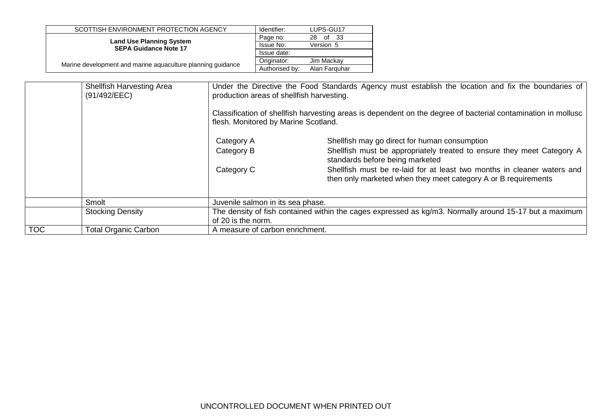| SCOTTISH ENVIRONMENT PROTECTION AGENCY                          | Identifier:    | LUPS-GU17        |
|-----------------------------------------------------------------|----------------|------------------|
|                                                                 | Page no:       | - 33<br>of<br>28 |
| <b>Land Use Planning System</b><br><b>SEPA Guidance Note 17</b> | Issue No:      | Version 5        |
|                                                                 | Issue date:    |                  |
|                                                                 | Originator:    | Jim Mackav       |
| Marine development and marine aquaculture planning quidance     | Authorised by: | Alan Farguhar    |

<span id="page-27-0"></span>

|            | <b>Shellfish Harvesting Area</b><br>(91/492/EEC) |                                   | Under the Directive the Food Standards Agency must establish the location and fix the boundaries of<br>production areas of shellfish harvesting.<br>Classification of shellfish harvesting areas is dependent on the degree of bacterial contamination in mollusc<br>flesh. Monitored by Marine Scotland. |  |
|------------|--------------------------------------------------|-----------------------------------|-----------------------------------------------------------------------------------------------------------------------------------------------------------------------------------------------------------------------------------------------------------------------------------------------------------|--|
|            |                                                  | Category A<br>Category B          | Shellfish may go direct for human consumption<br>Shellfish must be appropriately treated to ensure they meet Category A<br>standards before being marketed                                                                                                                                                |  |
|            |                                                  | Category C                        | Shellfish must be re-laid for at least two months in cleaner waters and<br>then only marketed when they meet category A or B requirements                                                                                                                                                                 |  |
|            | Smolt                                            | Juvenile salmon in its sea phase. |                                                                                                                                                                                                                                                                                                           |  |
|            | <b>Stocking Density</b>                          | of 20 is the norm.                | The density of fish contained within the cages expressed as kg/m3. Normally around 15-17 but a maximum                                                                                                                                                                                                    |  |
| <b>TOC</b> | <b>Total Organic Carbon</b>                      | A measure of carbon enrichment.   |                                                                                                                                                                                                                                                                                                           |  |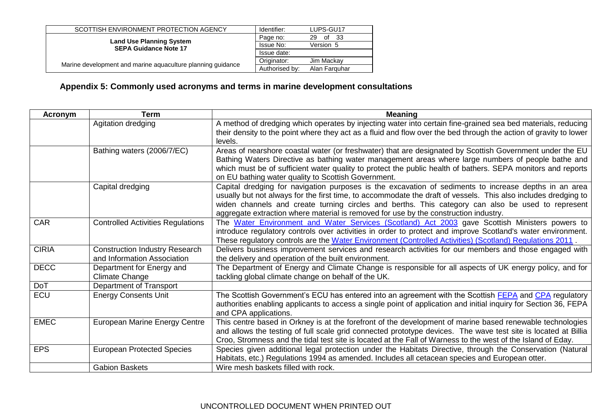| SCOTTISH ENVIRONMENT PROTECTION AGENCY                          | Identifier:    | LUPS-GU17         |
|-----------------------------------------------------------------|----------------|-------------------|
|                                                                 | Page no:       | - 33<br>of<br>29. |
| <b>Land Use Planning System</b><br><b>SEPA Guidance Note 17</b> | Issue No:      | Version 5         |
|                                                                 | Issue date:    |                   |
|                                                                 | Originator:    | Jim Mackay        |
| Marine development and marine aquaculture planning guidance     | Authorised by: | Alan Farguhar     |
|                                                                 |                |                   |

# **Appendix 5: Commonly used acronyms and terms in marine development consultations**

| Acronym      | <b>Term</b>                                                          | <b>Meaning</b>                                                                                                                                                                                                                                                                                                                                                                                                       |
|--------------|----------------------------------------------------------------------|----------------------------------------------------------------------------------------------------------------------------------------------------------------------------------------------------------------------------------------------------------------------------------------------------------------------------------------------------------------------------------------------------------------------|
|              | Agitation dredging                                                   | A method of dredging which operates by injecting water into certain fine-grained sea bed materials, reducing<br>their density to the point where they act as a fluid and flow over the bed through the action of gravity to lower<br>levels.                                                                                                                                                                         |
|              | Bathing waters (2006/7/EC)                                           | Areas of nearshore coastal water (or freshwater) that are designated by Scottish Government under the EU<br>Bathing Waters Directive as bathing water management areas where large numbers of people bathe and<br>which must be of sufficient water quality to protect the public health of bathers. SEPA monitors and reports<br>on EU bathing water quality to Scottish Government.                                |
|              | Capital dredging                                                     | Capital dredging for navigation purposes is the excavation of sediments to increase depths in an area<br>usually but not always for the first time, to accommodate the draft of vessels. This also includes dredging to<br>widen channels and create turning circles and berths. This category can also be used to represent<br>aggregate extraction where material is removed for use by the construction industry. |
| <b>CAR</b>   | <b>Controlled Activities Regulations</b>                             | The Water Environment and Water Services (Scotland) Act 2003 gave Scottish Ministers powers to<br>introduce regulatory controls over activities in order to protect and improve Scotland's water environment.<br>These regulatory controls are the Water Environment (Controlled Activities) (Scotland) Regulations 2011.                                                                                            |
| <b>CIRIA</b> | <b>Construction Industry Research</b><br>and Information Association | Delivers business improvement services and research activities for our members and those engaged with<br>the delivery and operation of the built environment.                                                                                                                                                                                                                                                        |
| <b>DECC</b>  | Department for Energy and<br>Climate Change                          | The Department of Energy and Climate Change is responsible for all aspects of UK energy policy, and for<br>tackling global climate change on behalf of the UK.                                                                                                                                                                                                                                                       |
| <b>DoT</b>   | Department of Transport                                              |                                                                                                                                                                                                                                                                                                                                                                                                                      |
| <b>ECU</b>   | <b>Energy Consents Unit</b>                                          | The Scottish Government's ECU has entered into an agreement with the Scottish FEPA and CPA regulatory<br>authorities enabling applicants to access a single point of application and initial inquiry for Section 36, FEPA<br>and CPA applications.                                                                                                                                                                   |
| <b>EMEC</b>  | <b>European Marine Energy Centre</b>                                 | This centre based in Orkney is at the forefront of the development of marine based renewable technologies<br>and allows the testing of full scale grid connected prototype devices. The wave test site is located at Billia<br>Croo, Stromness and the tidal test site is located at the Fall of Warness to the west of the Island of Eday.                                                                          |
| <b>EPS</b>   | <b>European Protected Species</b>                                    | Species given additional legal protection under the Habitats Directive, through the Conservation (Natural<br>Habitats, etc.) Regulations 1994 as amended. Includes all cetacean species and European otter.                                                                                                                                                                                                          |
|              | <b>Gabion Baskets</b>                                                | Wire mesh baskets filled with rock.                                                                                                                                                                                                                                                                                                                                                                                  |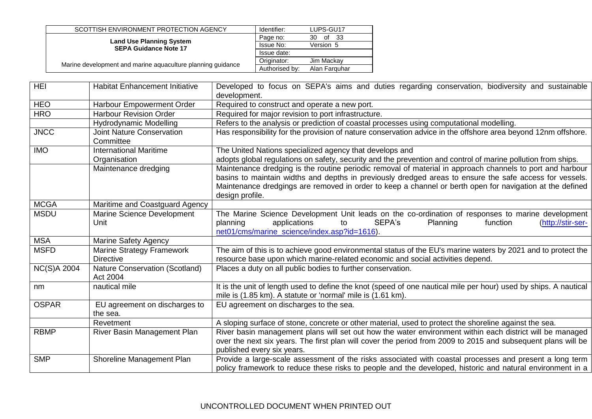| SCOTTISH ENVIRONMENT PROTECTION AGENCY                          | Identifier:    | LUPS-GU17        |
|-----------------------------------------------------------------|----------------|------------------|
|                                                                 | Page no:       | of<br>- 33<br>30 |
| <b>Land Use Planning System</b><br><b>SEPA Guidance Note 17</b> | Issue No:      | Version 5        |
|                                                                 | Issue date:    |                  |
|                                                                 | Originator:    | Jim Mackav       |
| Marine development and marine aquaculture planning quidance     | Authorised by: | Alan Farguhar    |

| <b>HEI</b>         | <b>Habitat Enhancement Initiative</b> | Developed to focus on SEPA's aims and duties regarding conservation, biodiversity and sustainable                |
|--------------------|---------------------------------------|------------------------------------------------------------------------------------------------------------------|
|                    |                                       | development.                                                                                                     |
| <b>HEO</b>         | Harbour Empowerment Order             | Required to construct and operate a new port.                                                                    |
| <b>HRO</b>         | <b>Harbour Revision Order</b>         | Required for major revision to port infrastructure.                                                              |
|                    | Hydrodynamic Modelling                | Refers to the analysis or prediction of coastal processes using computational modelling.                         |
| <b>JNCC</b>        | <b>Joint Nature Conservation</b>      | Has responsibility for the provision of nature conservation advice in the offshore area beyond 12nm offshore.    |
|                    | Committee                             |                                                                                                                  |
| <b>IMO</b>         | <b>International Maritime</b>         | The United Nations specialized agency that develops and                                                          |
|                    | Organisation                          | adopts global regulations on safety, security and the prevention and control of marine pollution from ships.     |
|                    | Maintenance dredging                  | Maintenance dredging is the routine periodic removal of material in approach channels to port and harbour        |
|                    |                                       | basins to maintain widths and depths in previously dredged areas to ensure the safe access for vessels.          |
|                    |                                       | Maintenance dredgings are removed in order to keep a channel or berth open for navigation at the defined         |
|                    |                                       | design profile.                                                                                                  |
| <b>MCGA</b>        | Maritime and Coastguard Agency        |                                                                                                                  |
| <b>MSDU</b>        | Marine Science Development            | The Marine Science Development Unit leads on the co-ordination of responses to marine development                |
|                    | Unit                                  | planning<br>applications<br>SEPA's<br>(http://stir-ser-<br>Planning<br>function<br>to                            |
|                    |                                       | net01/cms/marine_science/index.asp?id=1616).                                                                     |
| <b>MSA</b>         | <b>Marine Safety Agency</b>           |                                                                                                                  |
| <b>MSFD</b>        | Marine Strategy Framework             | The aim of this is to achieve good environmental status of the EU's marine waters by 2021 and to protect the     |
|                    | <b>Directive</b>                      | resource base upon which marine-related economic and social activities depend.                                   |
| <b>NC(S)A 2004</b> | <b>Nature Conservation (Scotland)</b> | Places a duty on all public bodies to further conservation.                                                      |
|                    | Act 2004                              |                                                                                                                  |
| nm                 | nautical mile                         | It is the unit of length used to define the knot (speed of one nautical mile per hour) used by ships. A nautical |
|                    |                                       | mile is (1.85 km). A statute or 'normal' mile is (1.61 km).                                                      |
| <b>OSPAR</b>       | EU agreement on discharges to         | EU agreement on discharges to the sea.                                                                           |
|                    | the sea.                              |                                                                                                                  |
|                    | Revetment                             | A sloping surface of stone, concrete or other material, used to protect the shoreline against the sea.           |
| <b>RBMP</b>        | River Basin Management Plan           | River basin management plans will set out how the water environment within each district will be managed         |
|                    |                                       | over the next six years. The first plan will cover the period from 2009 to 2015 and subsequent plans will be     |
| <b>SMP</b>         |                                       | published every six years.                                                                                       |
|                    | Shoreline Management Plan             | Provide a large-scale assessment of the risks associated with coastal processes and present a long term          |
|                    |                                       | policy framework to reduce these risks to people and the developed, historic and natural environment in a        |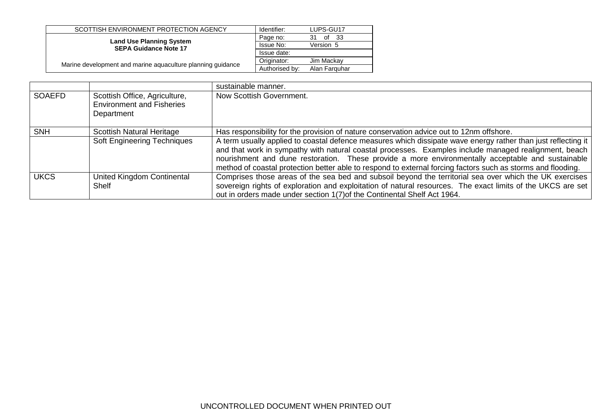| SCOTTISH ENVIRONMENT PROTECTION AGENCY                          | Identifier:    | LUPS-GU17     |
|-----------------------------------------------------------------|----------------|---------------|
|                                                                 | Page no:       | of 33<br>31   |
| <b>Land Use Planning System</b><br><b>SEPA Guidance Note 17</b> | Issue No:      | Version 5     |
|                                                                 | Issue date:    |               |
|                                                                 | Originator:    | Jim Mackay    |
| Marine development and marine aquaculture planning guidance     | Authorised by: | Alan Farguhar |

|               |                                                                                 | sustainable manner.                                                                                                                                                                                                                                                                                                                                                                                                                         |
|---------------|---------------------------------------------------------------------------------|---------------------------------------------------------------------------------------------------------------------------------------------------------------------------------------------------------------------------------------------------------------------------------------------------------------------------------------------------------------------------------------------------------------------------------------------|
| <b>SOAEFD</b> | Scottish Office, Agriculture,<br><b>Environment and Fisheries</b><br>Department | Now Scottish Government.                                                                                                                                                                                                                                                                                                                                                                                                                    |
| <b>SNH</b>    | Scottish Natural Heritage                                                       | Has responsibility for the provision of nature conservation advice out to 12nm offshore.                                                                                                                                                                                                                                                                                                                                                    |
|               | <b>Soft Engineering Techniques</b>                                              | A term usually applied to coastal defence measures which dissipate wave energy rather than just reflecting it<br>and that work in sympathy with natural coastal processes. Examples include managed realignment, beach<br>nourishment and dune restoration. These provide a more environmentally acceptable and sustainable<br>method of coastal protection better able to respond to external forcing factors such as storms and flooding. |
| <b>UKCS</b>   | United Kingdom Continental<br>Shelf                                             | Comprises those areas of the sea bed and subsoil beyond the territorial sea over which the UK exercises<br>sovereign rights of exploration and exploitation of natural resources. The exact limits of the UKCS are set<br>out in orders made under section 1(7) of the Continental Shelf Act 1964.                                                                                                                                          |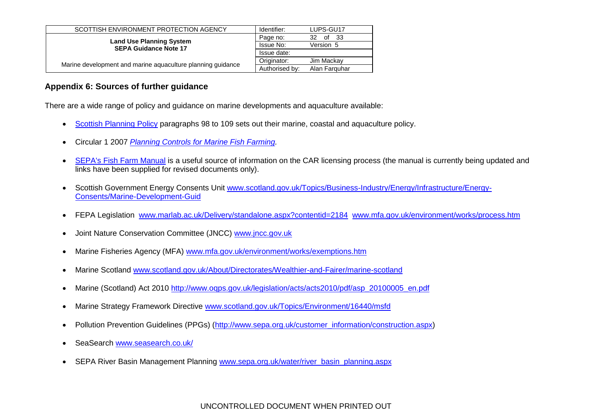| SCOTTISH ENVIRONMENT PROTECTION AGENCY                      | Identifier:    | LUPS-GU17        |
|-------------------------------------------------------------|----------------|------------------|
| <b>Land Use Planning System</b>                             | Page no:       | of<br>- 33<br>32 |
| <b>SEPA Guidance Note 17</b>                                | Issue No:      | Version 5        |
|                                                             | Issue date:    |                  |
|                                                             | Originator:    | Jim Mackav       |
| Marine development and marine aquaculture planning guidance | Authorised by: | Alan Farguhar    |

## **Appendix 6: Sources of further guidance**

There are a wide range of policy and guidance on marine developments and aquaculture available:

- [Scottish Planning Policy](http://www.scotland.gov.uk/Resource/Doc/300760/0093908.pdf) paragraphs 98 to 109 sets out their marine, coastal and aquaculture policy.
- Circular 1 2007 *[Planning Controls for Marine Fish Farming.](http://www.scotland.gov.uk/Publications/2007/03/29102026/0)*
- [SEPA's Fish Farm Manual](http://www.sepa.org.uk/water/water_regulation/regimes/aquaculture/marine_aquaculture/fish_farm_manual.aspx) is a useful source of information on the CAR licensing process (the manual is currently being updated and links have been supplied for revised documents only).
- Scottish Government Energy Consents Unit [www.scotland.gov.uk/Topics/Business-Industry/Energy/Infrastructure/Energy-](http://stir-app-qpl01/QPulse5Web/lorna.maclean/Local%20Settings/Temporary%20Internet%20Files/Local%20Settings/Temporary%20Internet%20Files/OLK10/www.scotland.gov.uk/Topics/Business-Industry/Energy/Infrastructure/Energy-Consents/Marine-Development-Guid)[Consents/Marine-Development-Guid](http://stir-app-qpl01/QPulse5Web/lorna.maclean/Local%20Settings/Temporary%20Internet%20Files/Local%20Settings/Temporary%20Internet%20Files/OLK10/www.scotland.gov.uk/Topics/Business-Industry/Energy/Infrastructure/Energy-Consents/Marine-Development-Guid)
- FEPA Legislation [www.marlab.ac.uk/Delivery/standalone.aspx?contentid=2184](http://www.marlab.ac.uk/Delivery/standalone.aspx?contentid=2184) [www.mfa.gov.uk/environment/works/process.htm](http://www.mfa.gov.uk/environment/works/process.htm)
- Joint Nature Conservation Committee (JNCC) [www.jncc.gov.uk](http://www.jncc.gov.uk/)
- <span id="page-31-0"></span>Marine Fisheries Agency (MFA) [www.mfa.gov.uk/environment/works/exemptions.htm](http://www.mfa.gov.uk/environment/works/exemptions.htm)
- Marine Scotland [www.scotland.gov.uk/About/Directorates/Wealthier-and-Fairer/marine-scotland](http://www.scotland.gov.uk/About/Directorates/Wealthier-and-Fairer/marine-scotland)
- Marine (Scotland) Act 2010 [http://www.oqps.gov.uk/legislation/acts/acts2010/pdf/asp\\_20100005\\_en.pdf](http://www.oqps.gov.uk/legislation/acts/acts2010/pdf/asp_20100005_en.pdf)
- Marine Strategy Framework Directive [www.scotland.gov.uk/Topics/Environment/16440/msfd](http://www.scotland.gov.uk/Topics/Environment/16440/msfd)
- Pollution Prevention Guidelines (PPGs) [\(http://www.sepa.org.uk/customer\\_information/construction.aspx\)](http://www.sepa.org.uk/customer_information/construction.aspx)
- SeaSearch [www.seasearch.co.uk/](http://www.seasearch.co.uk/)
- SEPA River Basin Management Planning [www.sepa.org.uk/water/river\\_basin\\_planning.aspx](http://www.sepa.org.uk/water/river_basin_planning.aspx)

## UNCONTROLLED DOCUMENT WHEN PRINTED OUT